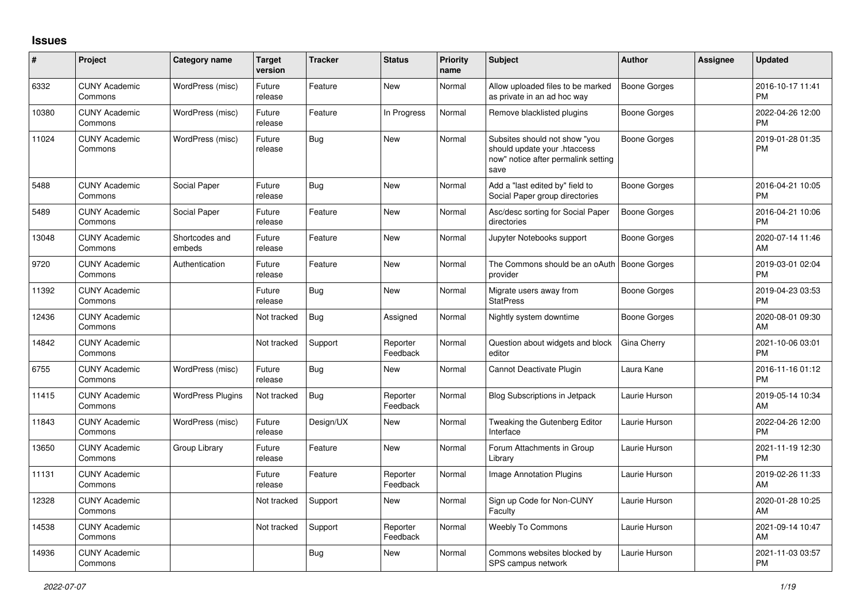## **Issues**

| #     | Project                         | <b>Category name</b>     | <b>Target</b><br>version | <b>Tracker</b> | <b>Status</b>        | <b>Priority</b><br>name | <b>Subject</b>                                                                                               | <b>Author</b>       | <b>Assignee</b> | <b>Updated</b>                |
|-------|---------------------------------|--------------------------|--------------------------|----------------|----------------------|-------------------------|--------------------------------------------------------------------------------------------------------------|---------------------|-----------------|-------------------------------|
| 6332  | <b>CUNY Academic</b><br>Commons | WordPress (misc)         | Future<br>release        | Feature        | <b>New</b>           | Normal                  | Allow uploaded files to be marked<br>as private in an ad hoc way                                             | <b>Boone Gorges</b> |                 | 2016-10-17 11:41<br><b>PM</b> |
| 10380 | <b>CUNY Academic</b><br>Commons | WordPress (misc)         | Future<br>release        | Feature        | In Progress          | Normal                  | Remove blacklisted plugins                                                                                   | Boone Gorges        |                 | 2022-04-26 12:00<br><b>PM</b> |
| 11024 | <b>CUNY Academic</b><br>Commons | WordPress (misc)         | Future<br>release        | <b>Bug</b>     | <b>New</b>           | Normal                  | Subsites should not show "you<br>should update your .htaccess<br>now" notice after permalink setting<br>save | Boone Gorges        |                 | 2019-01-28 01:35<br><b>PM</b> |
| 5488  | <b>CUNY Academic</b><br>Commons | Social Paper             | Future<br>release        | <b>Bug</b>     | <b>New</b>           | Normal                  | Add a "last edited by" field to<br>Social Paper group directories                                            | <b>Boone Gorges</b> |                 | 2016-04-21 10:05<br><b>PM</b> |
| 5489  | <b>CUNY Academic</b><br>Commons | Social Paper             | Future<br>release        | Feature        | <b>New</b>           | Normal                  | Asc/desc sorting for Social Paper<br>directories                                                             | Boone Gorges        |                 | 2016-04-21 10:06<br><b>PM</b> |
| 13048 | <b>CUNY Academic</b><br>Commons | Shortcodes and<br>embeds | Future<br>release        | Feature        | <b>New</b>           | Normal                  | Jupyter Notebooks support                                                                                    | Boone Gorges        |                 | 2020-07-14 11:46<br>AM        |
| 9720  | <b>CUNY Academic</b><br>Commons | Authentication           | Future<br>release        | Feature        | New                  | Normal                  | The Commons should be an oAuth<br>provider                                                                   | Boone Gorges        |                 | 2019-03-01 02:04<br><b>PM</b> |
| 11392 | <b>CUNY Academic</b><br>Commons |                          | Future<br>release        | <b>Bug</b>     | <b>New</b>           | Normal                  | Migrate users away from<br><b>StatPress</b>                                                                  | <b>Boone Gorges</b> |                 | 2019-04-23 03:53<br><b>PM</b> |
| 12436 | <b>CUNY Academic</b><br>Commons |                          | Not tracked              | Bug            | Assigned             | Normal                  | Nightly system downtime                                                                                      | Boone Gorges        |                 | 2020-08-01 09:30<br>AM        |
| 14842 | <b>CUNY Academic</b><br>Commons |                          | Not tracked              | Support        | Reporter<br>Feedback | Normal                  | Question about widgets and block<br>editor                                                                   | Gina Cherry         |                 | 2021-10-06 03:01<br><b>PM</b> |
| 6755  | <b>CUNY Academic</b><br>Commons | WordPress (misc)         | Future<br>release        | <b>Bug</b>     | <b>New</b>           | Normal                  | Cannot Deactivate Plugin                                                                                     | Laura Kane          |                 | 2016-11-16 01:12<br><b>PM</b> |
| 11415 | <b>CUNY Academic</b><br>Commons | <b>WordPress Plugins</b> | Not tracked              | <b>Bug</b>     | Reporter<br>Feedback | Normal                  | <b>Blog Subscriptions in Jetpack</b>                                                                         | Laurie Hurson       |                 | 2019-05-14 10:34<br>AM        |
| 11843 | <b>CUNY Academic</b><br>Commons | WordPress (misc)         | Future<br>release        | Design/UX      | <b>New</b>           | Normal                  | Tweaking the Gutenberg Editor<br>Interface                                                                   | Laurie Hurson       |                 | 2022-04-26 12:00<br><b>PM</b> |
| 13650 | <b>CUNY Academic</b><br>Commons | Group Library            | Future<br>release        | Feature        | <b>New</b>           | Normal                  | Forum Attachments in Group<br>Library                                                                        | Laurie Hurson       |                 | 2021-11-19 12:30<br><b>PM</b> |
| 11131 | <b>CUNY Academic</b><br>Commons |                          | Future<br>release        | Feature        | Reporter<br>Feedback | Normal                  | <b>Image Annotation Plugins</b>                                                                              | Laurie Hurson       |                 | 2019-02-26 11:33<br>AM        |
| 12328 | <b>CUNY Academic</b><br>Commons |                          | Not tracked              | Support        | New                  | Normal                  | Sign up Code for Non-CUNY<br>Faculty                                                                         | Laurie Hurson       |                 | 2020-01-28 10:25<br>AM        |
| 14538 | <b>CUNY Academic</b><br>Commons |                          | Not tracked              | Support        | Reporter<br>Feedback | Normal                  | <b>Weebly To Commons</b>                                                                                     | Laurie Hurson       |                 | 2021-09-14 10:47<br>AM        |
| 14936 | <b>CUNY Academic</b><br>Commons |                          |                          | <b>Bug</b>     | <b>New</b>           | Normal                  | Commons websites blocked by<br>SPS campus network                                                            | Laurie Hurson       |                 | 2021-11-03 03:57<br><b>PM</b> |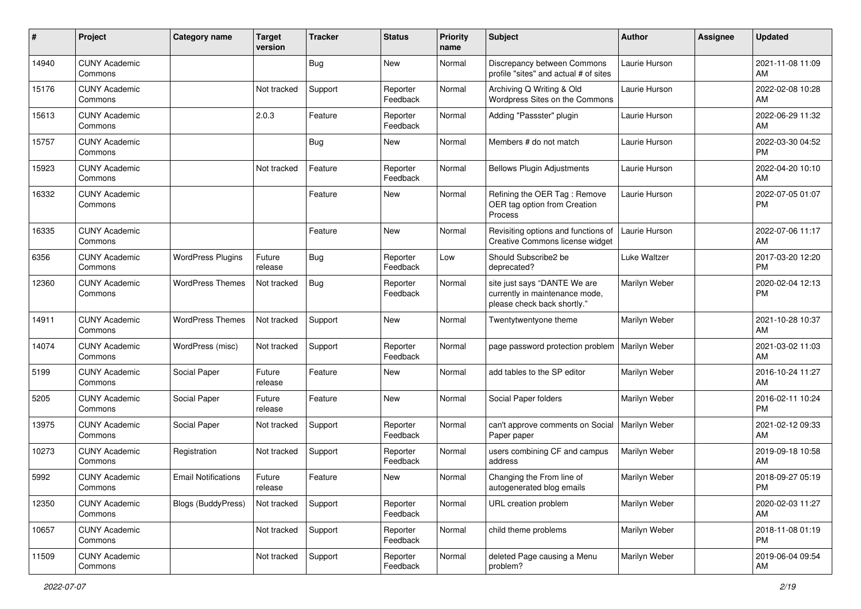| #     | Project                         | <b>Category name</b>       | <b>Target</b><br>version | <b>Tracker</b> | <b>Status</b>        | <b>Priority</b><br>name | <b>Subject</b>                                                                                | Author        | <b>Assignee</b> | <b>Updated</b>                |
|-------|---------------------------------|----------------------------|--------------------------|----------------|----------------------|-------------------------|-----------------------------------------------------------------------------------------------|---------------|-----------------|-------------------------------|
| 14940 | <b>CUNY Academic</b><br>Commons |                            |                          | <b>Bug</b>     | <b>New</b>           | Normal                  | Discrepancy between Commons<br>profile "sites" and actual # of sites                          | Laurie Hurson |                 | 2021-11-08 11:09<br>AM        |
| 15176 | <b>CUNY Academic</b><br>Commons |                            | Not tracked              | Support        | Reporter<br>Feedback | Normal                  | Archiving Q Writing & Old<br>Wordpress Sites on the Commons                                   | Laurie Hurson |                 | 2022-02-08 10:28<br>AM        |
| 15613 | <b>CUNY Academic</b><br>Commons |                            | 2.0.3                    | Feature        | Reporter<br>Feedback | Normal                  | Adding "Passster" plugin                                                                      | Laurie Hurson |                 | 2022-06-29 11:32<br>AM        |
| 15757 | <b>CUNY Academic</b><br>Commons |                            |                          | <b>Bug</b>     | New                  | Normal                  | Members # do not match                                                                        | Laurie Hurson |                 | 2022-03-30 04:52<br><b>PM</b> |
| 15923 | <b>CUNY Academic</b><br>Commons |                            | Not tracked              | Feature        | Reporter<br>Feedback | Normal                  | <b>Bellows Plugin Adjustments</b>                                                             | Laurie Hurson |                 | 2022-04-20 10:10<br>AM        |
| 16332 | <b>CUNY Academic</b><br>Commons |                            |                          | Feature        | New                  | Normal                  | Refining the OER Tag: Remove<br>OER tag option from Creation<br>Process                       | Laurie Hurson |                 | 2022-07-05 01:07<br><b>PM</b> |
| 16335 | <b>CUNY Academic</b><br>Commons |                            |                          | Feature        | New                  | Normal                  | Revisiting options and functions of<br>Creative Commons license widget                        | Laurie Hurson |                 | 2022-07-06 11:17<br>AM        |
| 6356  | <b>CUNY Academic</b><br>Commons | <b>WordPress Plugins</b>   | Future<br>release        | <b>Bug</b>     | Reporter<br>Feedback | Low                     | Should Subscribe2 be<br>deprecated?                                                           | Luke Waltzer  |                 | 2017-03-20 12:20<br><b>PM</b> |
| 12360 | <b>CUNY Academic</b><br>Commons | <b>WordPress Themes</b>    | Not tracked              | <b>Bug</b>     | Reporter<br>Feedback | Normal                  | site just says "DANTE We are<br>currently in maintenance mode,<br>please check back shortly." | Marilyn Weber |                 | 2020-02-04 12:13<br><b>PM</b> |
| 14911 | <b>CUNY Academic</b><br>Commons | <b>WordPress Themes</b>    | Not tracked              | Support        | New                  | Normal                  | Twentytwentyone theme                                                                         | Marilyn Weber |                 | 2021-10-28 10:37<br>AM        |
| 14074 | <b>CUNY Academic</b><br>Commons | WordPress (misc)           | Not tracked              | Support        | Reporter<br>Feedback | Normal                  | page password protection problem                                                              | Marilyn Weber |                 | 2021-03-02 11:03<br>AM        |
| 5199  | <b>CUNY Academic</b><br>Commons | Social Paper               | Future<br>release        | Feature        | New                  | Normal                  | add tables to the SP editor                                                                   | Marilyn Weber |                 | 2016-10-24 11:27<br>AM        |
| 5205  | <b>CUNY Academic</b><br>Commons | Social Paper               | Future<br>release        | Feature        | <b>New</b>           | Normal                  | Social Paper folders                                                                          | Marilyn Weber |                 | 2016-02-11 10:24<br><b>PM</b> |
| 13975 | <b>CUNY Academic</b><br>Commons | Social Paper               | Not tracked              | Support        | Reporter<br>Feedback | Normal                  | can't approve comments on Social<br>Paper paper                                               | Marilyn Weber |                 | 2021-02-12 09:33<br>AM        |
| 10273 | <b>CUNY Academic</b><br>Commons | Registration               | Not tracked              | Support        | Reporter<br>Feedback | Normal                  | users combining CF and campus<br>address                                                      | Marilyn Weber |                 | 2019-09-18 10:58<br>AM        |
| 5992  | <b>CUNY Academic</b><br>Commons | <b>Email Notifications</b> | Future<br>release        | Feature        | New                  | Normal                  | Changing the From line of<br>autogenerated blog emails                                        | Marilyn Weber |                 | 2018-09-27 05:19<br>PM        |
| 12350 | <b>CUNY Academic</b><br>Commons | <b>Blogs (BuddyPress)</b>  | Not tracked              | Support        | Reporter<br>Feedback | Normal                  | URL creation problem                                                                          | Marilyn Weber |                 | 2020-02-03 11:27<br>AM        |
| 10657 | <b>CUNY Academic</b><br>Commons |                            | Not tracked              | Support        | Reporter<br>Feedback | Normal                  | child theme problems                                                                          | Marilyn Weber |                 | 2018-11-08 01:19<br><b>PM</b> |
| 11509 | <b>CUNY Academic</b><br>Commons |                            | Not tracked              | Support        | Reporter<br>Feedback | Normal                  | deleted Page causing a Menu<br>problem?                                                       | Marilyn Weber |                 | 2019-06-04 09:54<br>AM        |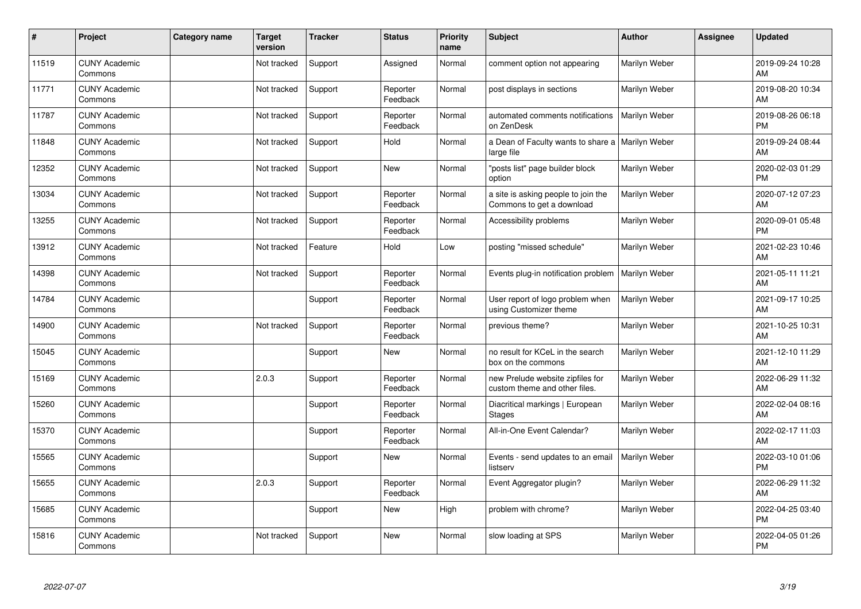| #     | Project                         | <b>Category name</b> | <b>Target</b><br>version | <b>Tracker</b> | <b>Status</b>        | <b>Priority</b><br>name | <b>Subject</b>                                                    | <b>Author</b> | <b>Assignee</b> | <b>Updated</b>                |
|-------|---------------------------------|----------------------|--------------------------|----------------|----------------------|-------------------------|-------------------------------------------------------------------|---------------|-----------------|-------------------------------|
| 11519 | <b>CUNY Academic</b><br>Commons |                      | Not tracked              | Support        | Assigned             | Normal                  | comment option not appearing                                      | Marilyn Weber |                 | 2019-09-24 10:28<br>AM        |
| 11771 | <b>CUNY Academic</b><br>Commons |                      | Not tracked              | Support        | Reporter<br>Feedback | Normal                  | post displays in sections                                         | Marilyn Weber |                 | 2019-08-20 10:34<br>AM        |
| 11787 | <b>CUNY Academic</b><br>Commons |                      | Not tracked              | Support        | Reporter<br>Feedback | Normal                  | automated comments notifications<br>on ZenDesk                    | Marilyn Weber |                 | 2019-08-26 06:18<br>PM        |
| 11848 | <b>CUNY Academic</b><br>Commons |                      | Not tracked              | Support        | Hold                 | Normal                  | a Dean of Faculty wants to share a<br>large file                  | Marilyn Weber |                 | 2019-09-24 08:44<br>AM        |
| 12352 | <b>CUNY Academic</b><br>Commons |                      | Not tracked              | Support        | <b>New</b>           | Normal                  | "posts list" page builder block<br>option                         | Marilyn Weber |                 | 2020-02-03 01:29<br><b>PM</b> |
| 13034 | <b>CUNY Academic</b><br>Commons |                      | Not tracked              | Support        | Reporter<br>Feedback | Normal                  | a site is asking people to join the<br>Commons to get a download  | Marilyn Weber |                 | 2020-07-12 07:23<br>AM        |
| 13255 | <b>CUNY Academic</b><br>Commons |                      | Not tracked              | Support        | Reporter<br>Feedback | Normal                  | Accessibility problems                                            | Marilyn Weber |                 | 2020-09-01 05:48<br><b>PM</b> |
| 13912 | <b>CUNY Academic</b><br>Commons |                      | Not tracked              | Feature        | Hold                 | Low                     | posting "missed schedule"                                         | Marilyn Weber |                 | 2021-02-23 10:46<br>AM        |
| 14398 | <b>CUNY Academic</b><br>Commons |                      | Not tracked              | Support        | Reporter<br>Feedback | Normal                  | Events plug-in notification problem                               | Marilyn Weber |                 | 2021-05-11 11:21<br>AM        |
| 14784 | <b>CUNY Academic</b><br>Commons |                      |                          | Support        | Reporter<br>Feedback | Normal                  | User report of logo problem when<br>using Customizer theme        | Marilyn Weber |                 | 2021-09-17 10:25<br>AM        |
| 14900 | <b>CUNY Academic</b><br>Commons |                      | Not tracked              | Support        | Reporter<br>Feedback | Normal                  | previous theme?                                                   | Marilyn Weber |                 | 2021-10-25 10:31<br>AM        |
| 15045 | <b>CUNY Academic</b><br>Commons |                      |                          | Support        | New                  | Normal                  | no result for KCeL in the search<br>box on the commons            | Marilyn Weber |                 | 2021-12-10 11:29<br>AM        |
| 15169 | <b>CUNY Academic</b><br>Commons |                      | 2.0.3                    | Support        | Reporter<br>Feedback | Normal                  | new Prelude website zipfiles for<br>custom theme and other files. | Marilyn Weber |                 | 2022-06-29 11:32<br>AM        |
| 15260 | <b>CUNY Academic</b><br>Commons |                      |                          | Support        | Reporter<br>Feedback | Normal                  | Diacritical markings   European<br>Stages                         | Marilyn Weber |                 | 2022-02-04 08:16<br>AM        |
| 15370 | <b>CUNY Academic</b><br>Commons |                      |                          | Support        | Reporter<br>Feedback | Normal                  | All-in-One Event Calendar?                                        | Marilyn Weber |                 | 2022-02-17 11:03<br>AM        |
| 15565 | <b>CUNY Academic</b><br>Commons |                      |                          | Support        | New                  | Normal                  | Events - send updates to an email<br>listserv                     | Marilyn Weber |                 | 2022-03-10 01:06<br><b>PM</b> |
| 15655 | <b>CUNY Academic</b><br>Commons |                      | 2.0.3                    | Support        | Reporter<br>Feedback | Normal                  | Event Aggregator plugin?                                          | Marilyn Weber |                 | 2022-06-29 11:32<br>AM        |
| 15685 | <b>CUNY Academic</b><br>Commons |                      |                          | Support        | New                  | High                    | problem with chrome?                                              | Marilyn Weber |                 | 2022-04-25 03:40<br><b>PM</b> |
| 15816 | <b>CUNY Academic</b><br>Commons |                      | Not tracked              | Support        | <b>New</b>           | Normal                  | slow loading at SPS                                               | Marilyn Weber |                 | 2022-04-05 01:26<br>PM        |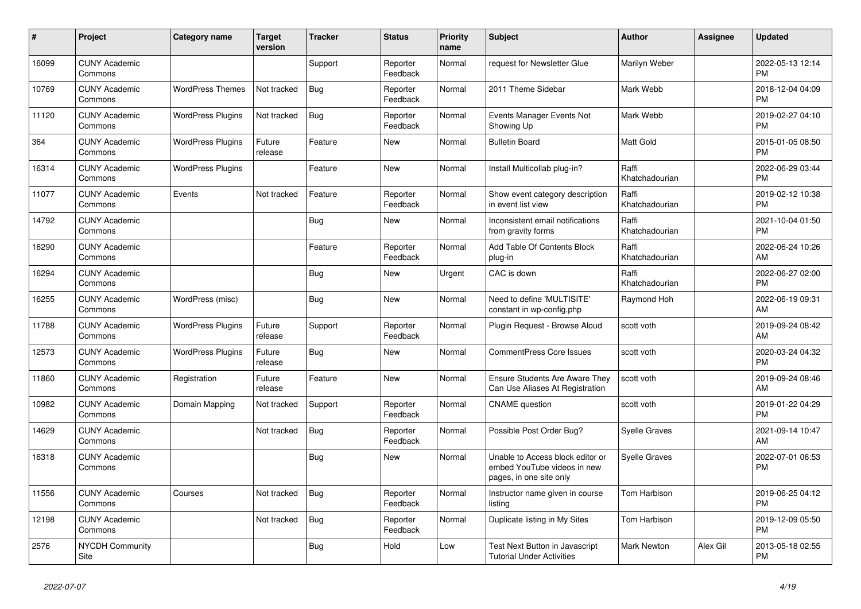| #     | Project                         | <b>Category name</b>     | <b>Target</b><br>version | <b>Tracker</b> | <b>Status</b>        | <b>Priority</b><br>name | <b>Subject</b>                                                                             | <b>Author</b>           | Assignee | <b>Updated</b>                |
|-------|---------------------------------|--------------------------|--------------------------|----------------|----------------------|-------------------------|--------------------------------------------------------------------------------------------|-------------------------|----------|-------------------------------|
| 16099 | <b>CUNY Academic</b><br>Commons |                          |                          | Support        | Reporter<br>Feedback | Normal                  | request for Newsletter Glue                                                                | Marilyn Weber           |          | 2022-05-13 12:14<br><b>PM</b> |
| 10769 | <b>CUNY Academic</b><br>Commons | <b>WordPress Themes</b>  | Not tracked              | <b>Bug</b>     | Reporter<br>Feedback | Normal                  | 2011 Theme Sidebar                                                                         | Mark Webb               |          | 2018-12-04 04:09<br><b>PM</b> |
| 11120 | <b>CUNY Academic</b><br>Commons | <b>WordPress Plugins</b> | Not tracked              | <b>Bug</b>     | Reporter<br>Feedback | Normal                  | Events Manager Events Not<br>Showing Up                                                    | Mark Webb               |          | 2019-02-27 04:10<br><b>PM</b> |
| 364   | <b>CUNY Academic</b><br>Commons | <b>WordPress Plugins</b> | Future<br>release        | Feature        | <b>New</b>           | Normal                  | <b>Bulletin Board</b>                                                                      | <b>Matt Gold</b>        |          | 2015-01-05 08:50<br><b>PM</b> |
| 16314 | <b>CUNY Academic</b><br>Commons | <b>WordPress Plugins</b> |                          | Feature        | New                  | Normal                  | Install Multicollab plug-in?                                                               | Raffi<br>Khatchadourian |          | 2022-06-29 03:44<br><b>PM</b> |
| 11077 | <b>CUNY Academic</b><br>Commons | Events                   | Not tracked              | Feature        | Reporter<br>Feedback | Normal                  | Show event category description<br>in event list view                                      | Raffi<br>Khatchadourian |          | 2019-02-12 10:38<br><b>PM</b> |
| 14792 | <b>CUNY Academic</b><br>Commons |                          |                          | Bug            | <b>New</b>           | Normal                  | Inconsistent email notifications<br>from gravity forms                                     | Raffi<br>Khatchadourian |          | 2021-10-04 01:50<br><b>PM</b> |
| 16290 | <b>CUNY Academic</b><br>Commons |                          |                          | Feature        | Reporter<br>Feedback | Normal                  | Add Table Of Contents Block<br>plug-in                                                     | Raffi<br>Khatchadourian |          | 2022-06-24 10:26<br>AM        |
| 16294 | <b>CUNY Academic</b><br>Commons |                          |                          | Bug            | <b>New</b>           | Urgent                  | CAC is down                                                                                | Raffi<br>Khatchadourian |          | 2022-06-27 02:00<br><b>PM</b> |
| 16255 | <b>CUNY Academic</b><br>Commons | WordPress (misc)         |                          | <b>Bug</b>     | <b>New</b>           | Normal                  | Need to define 'MULTISITE'<br>constant in wp-config.php                                    | Raymond Hoh             |          | 2022-06-19 09:31<br>AM        |
| 11788 | <b>CUNY Academic</b><br>Commons | <b>WordPress Plugins</b> | Future<br>release        | Support        | Reporter<br>Feedback | Normal                  | Plugin Request - Browse Aloud                                                              | scott voth              |          | 2019-09-24 08:42<br>AM        |
| 12573 | <b>CUNY Academic</b><br>Commons | <b>WordPress Plugins</b> | Future<br>release        | <b>Bug</b>     | New                  | Normal                  | <b>CommentPress Core Issues</b>                                                            | scott voth              |          | 2020-03-24 04:32<br><b>PM</b> |
| 11860 | <b>CUNY Academic</b><br>Commons | Registration             | Future<br>release        | Feature        | <b>New</b>           | Normal                  | Ensure Students Are Aware They<br>Can Use Aliases At Registration                          | scott voth              |          | 2019-09-24 08:46<br>AM        |
| 10982 | <b>CUNY Academic</b><br>Commons | Domain Mapping           | Not tracked              | Support        | Reporter<br>Feedback | Normal                  | <b>CNAME</b> question                                                                      | scott voth              |          | 2019-01-22 04:29<br><b>PM</b> |
| 14629 | <b>CUNY Academic</b><br>Commons |                          | Not tracked              | <b>Bug</b>     | Reporter<br>Feedback | Normal                  | Possible Post Order Bug?                                                                   | <b>Syelle Graves</b>    |          | 2021-09-14 10:47<br>AM        |
| 16318 | <b>CUNY Academic</b><br>Commons |                          |                          | <b>Bug</b>     | New                  | Normal                  | Unable to Access block editor or<br>embed YouTube videos in new<br>pages, in one site only | <b>Syelle Graves</b>    |          | 2022-07-01 06:53<br><b>PM</b> |
| 11556 | <b>CUNY Academic</b><br>Commons | Courses                  | Not tracked              | <b>Bug</b>     | Reporter<br>Feedback | Normal                  | Instructor name given in course<br>listing                                                 | Tom Harbison            |          | 2019-06-25 04:12<br><b>PM</b> |
| 12198 | <b>CUNY Academic</b><br>Commons |                          | Not tracked              | <b>Bug</b>     | Reporter<br>Feedback | Normal                  | Duplicate listing in My Sites                                                              | Tom Harbison            |          | 2019-12-09 05:50<br><b>PM</b> |
| 2576  | <b>NYCDH Community</b><br>Site  |                          |                          | <b>Bug</b>     | Hold                 | Low                     | <b>Test Next Button in Javascript</b><br><b>Tutorial Under Activities</b>                  | <b>Mark Newton</b>      | Alex Gil | 2013-05-18 02:55<br><b>PM</b> |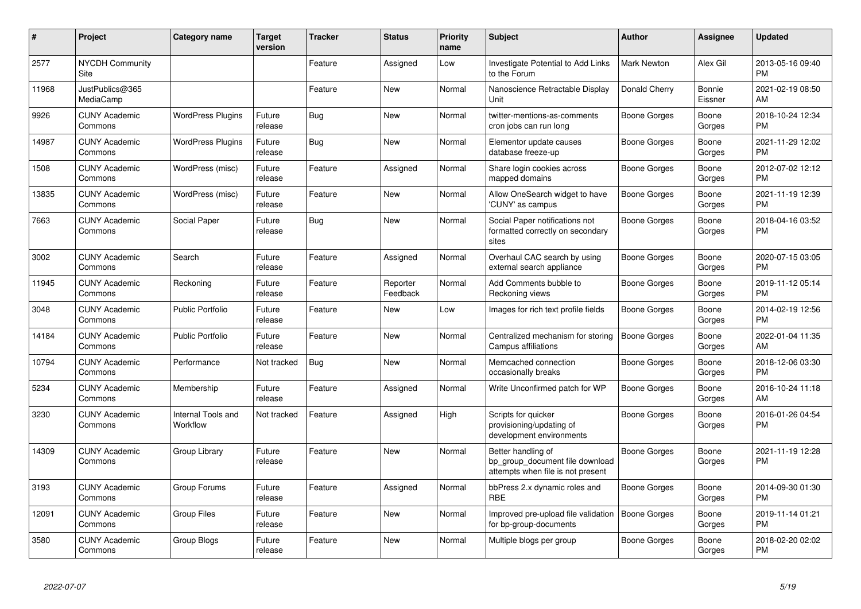| #     | <b>Project</b>                  | Category name                  | <b>Target</b><br>version | <b>Tracker</b> | <b>Status</b>        | <b>Priority</b><br>name | <b>Subject</b>                                                                             | Author              | Assignee          | <b>Updated</b>                |
|-------|---------------------------------|--------------------------------|--------------------------|----------------|----------------------|-------------------------|--------------------------------------------------------------------------------------------|---------------------|-------------------|-------------------------------|
| 2577  | <b>NYCDH Community</b><br>Site  |                                |                          | Feature        | Assigned             | Low                     | Investigate Potential to Add Links<br>to the Forum                                         | Mark Newton         | Alex Gil          | 2013-05-16 09:40<br><b>PM</b> |
| 11968 | JustPublics@365<br>MediaCamp    |                                |                          | Feature        | <b>New</b>           | Normal                  | Nanoscience Retractable Display<br>Unit                                                    | Donald Cherry       | Bonnie<br>Eissner | 2021-02-19 08:50<br>AM        |
| 9926  | <b>CUNY Academic</b><br>Commons | <b>WordPress Plugins</b>       | Future<br>release        | Bug            | New                  | Normal                  | twitter-mentions-as-comments<br>cron jobs can run long                                     | Boone Gorges        | Boone<br>Gorges   | 2018-10-24 12:34<br><b>PM</b> |
| 14987 | <b>CUNY Academic</b><br>Commons | <b>WordPress Plugins</b>       | Future<br>release        | <b>Bug</b>     | <b>New</b>           | Normal                  | Elementor update causes<br>database freeze-up                                              | Boone Gorges        | Boone<br>Gorges   | 2021-11-29 12:02<br><b>PM</b> |
| 1508  | <b>CUNY Academic</b><br>Commons | WordPress (misc)               | Future<br>release        | Feature        | Assigned             | Normal                  | Share login cookies across<br>mapped domains                                               | Boone Gorges        | Boone<br>Gorges   | 2012-07-02 12:12<br><b>PM</b> |
| 13835 | <b>CUNY Academic</b><br>Commons | WordPress (misc)               | Future<br>release        | Feature        | New                  | Normal                  | Allow OneSearch widget to have<br>'CUNY' as campus                                         | Boone Gorges        | Boone<br>Gorges   | 2021-11-19 12:39<br><b>PM</b> |
| 7663  | <b>CUNY Academic</b><br>Commons | Social Paper                   | Future<br>release        | Bug            | <b>New</b>           | Normal                  | Social Paper notifications not<br>formatted correctly on secondary<br>sites                | Boone Gorges        | Boone<br>Gorges   | 2018-04-16 03:52<br><b>PM</b> |
| 3002  | <b>CUNY Academic</b><br>Commons | Search                         | Future<br>release        | Feature        | Assigned             | Normal                  | Overhaul CAC search by using<br>external search appliance                                  | Boone Gorges        | Boone<br>Gorges   | 2020-07-15 03:05<br><b>PM</b> |
| 11945 | <b>CUNY Academic</b><br>Commons | Reckoning                      | Future<br>release        | Feature        | Reporter<br>Feedback | Normal                  | Add Comments bubble to<br>Reckoning views                                                  | Boone Gorges        | Boone<br>Gorges   | 2019-11-12 05:14<br><b>PM</b> |
| 3048  | <b>CUNY Academic</b><br>Commons | <b>Public Portfolio</b>        | Future<br>release        | Feature        | <b>New</b>           | Low                     | Images for rich text profile fields                                                        | Boone Gorges        | Boone<br>Gorges   | 2014-02-19 12:56<br><b>PM</b> |
| 14184 | <b>CUNY Academic</b><br>Commons | <b>Public Portfolio</b>        | Future<br>release        | Feature        | <b>New</b>           | Normal                  | Centralized mechanism for storing<br>Campus affiliations                                   | Boone Gorges        | Boone<br>Gorges   | 2022-01-04 11:35<br>AM        |
| 10794 | <b>CUNY Academic</b><br>Commons | Performance                    | Not tracked              | Bug            | <b>New</b>           | Normal                  | Memcached connection<br>occasionally breaks                                                | Boone Gorges        | Boone<br>Gorges   | 2018-12-06 03:30<br><b>PM</b> |
| 5234  | <b>CUNY Academic</b><br>Commons | Membership                     | Future<br>release        | Feature        | Assigned             | Normal                  | Write Unconfirmed patch for WP                                                             | <b>Boone Gorges</b> | Boone<br>Gorges   | 2016-10-24 11:18<br>AM        |
| 3230  | <b>CUNY Academic</b><br>Commons | Internal Tools and<br>Workflow | Not tracked              | Feature        | Assigned             | High                    | Scripts for quicker<br>provisioning/updating of<br>development environments                | <b>Boone Gorges</b> | Boone<br>Gorges   | 2016-01-26 04:54<br><b>PM</b> |
| 14309 | <b>CUNY Academic</b><br>Commons | Group Library                  | Future<br>release        | Feature        | New                  | Normal                  | Better handling of<br>bp group document file download<br>attempts when file is not present | <b>Boone Gorges</b> | Boone<br>Gorges   | 2021-11-19 12:28<br><b>PM</b> |
| 3193  | <b>CUNY Academic</b><br>Commons | Group Forums                   | Future<br>release        | Feature        | Assigned             | Normal                  | bbPress 2.x dynamic roles and<br><b>RBE</b>                                                | <b>Boone Gorges</b> | Boone<br>Gorges   | 2014-09-30 01:30<br><b>PM</b> |
| 12091 | <b>CUNY Academic</b><br>Commons | <b>Group Files</b>             | Future<br>release        | Feature        | New                  | Normal                  | Improved pre-upload file validation<br>for bp-group-documents                              | <b>Boone Gorges</b> | Boone<br>Gorges   | 2019-11-14 01:21<br><b>PM</b> |
| 3580  | <b>CUNY Academic</b><br>Commons | Group Blogs                    | Future<br>release        | Feature        | New                  | Normal                  | Multiple blogs per group                                                                   | Boone Gorges        | Boone<br>Gorges   | 2018-02-20 02:02<br><b>PM</b> |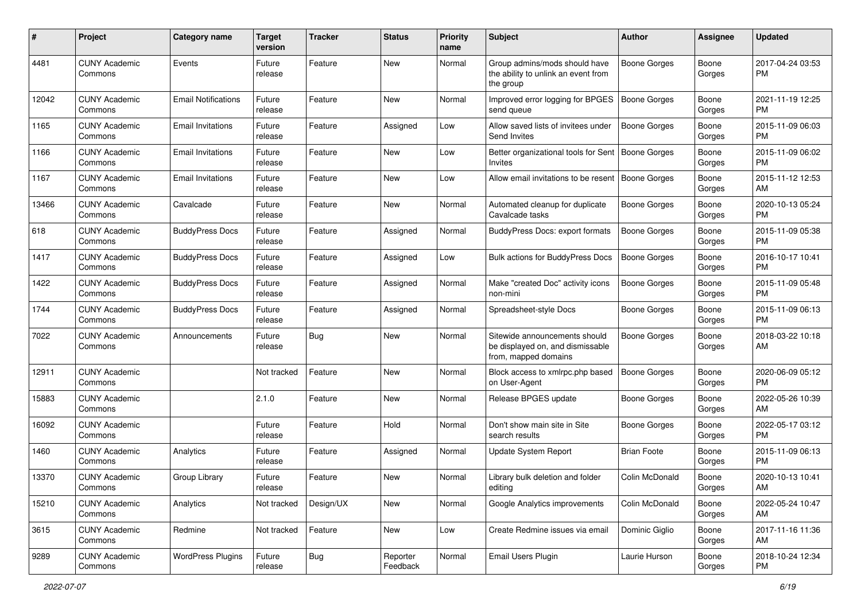| #     | Project                         | <b>Category name</b>       | <b>Target</b><br>version | <b>Tracker</b> | <b>Status</b>        | <b>Priority</b><br>name | <b>Subject</b>                                                                            | <b>Author</b>       | <b>Assignee</b> | <b>Updated</b>                |
|-------|---------------------------------|----------------------------|--------------------------|----------------|----------------------|-------------------------|-------------------------------------------------------------------------------------------|---------------------|-----------------|-------------------------------|
| 4481  | <b>CUNY Academic</b><br>Commons | Events                     | Future<br>release        | Feature        | New                  | Normal                  | Group admins/mods should have<br>the ability to unlink an event from<br>the group         | <b>Boone Gorges</b> | Boone<br>Gorges | 2017-04-24 03:53<br><b>PM</b> |
| 12042 | <b>CUNY Academic</b><br>Commons | <b>Email Notifications</b> | Future<br>release        | Feature        | <b>New</b>           | Normal                  | Improved error logging for BPGES<br>send queue                                            | Boone Gorges        | Boone<br>Gorges | 2021-11-19 12:25<br><b>PM</b> |
| 1165  | <b>CUNY Academic</b><br>Commons | <b>Email Invitations</b>   | Future<br>release        | Feature        | Assigned             | Low                     | Allow saved lists of invitees under<br>Send Invites                                       | Boone Gorges        | Boone<br>Gorges | 2015-11-09 06:03<br><b>PM</b> |
| 1166  | <b>CUNY Academic</b><br>Commons | <b>Email Invitations</b>   | Future<br>release        | Feature        | New                  | Low                     | Better organizational tools for Sent<br>Invites                                           | Boone Gorges        | Boone<br>Gorges | 2015-11-09 06:02<br><b>PM</b> |
| 1167  | <b>CUNY Academic</b><br>Commons | <b>Email Invitations</b>   | Future<br>release        | Feature        | New                  | Low                     | Allow email invitations to be resent                                                      | Boone Gorges        | Boone<br>Gorges | 2015-11-12 12:53<br>AM        |
| 13466 | <b>CUNY Academic</b><br>Commons | Cavalcade                  | Future<br>release        | Feature        | New                  | Normal                  | Automated cleanup for duplicate<br>Cavalcade tasks                                        | Boone Gorges        | Boone<br>Gorges | 2020-10-13 05:24<br><b>PM</b> |
| 618   | <b>CUNY Academic</b><br>Commons | <b>BuddyPress Docs</b>     | Future<br>release        | Feature        | Assigned             | Normal                  | <b>BuddyPress Docs: export formats</b>                                                    | <b>Boone Gorges</b> | Boone<br>Gorges | 2015-11-09 05:38<br><b>PM</b> |
| 1417  | <b>CUNY Academic</b><br>Commons | <b>BuddyPress Docs</b>     | Future<br>release        | Feature        | Assigned             | Low                     | Bulk actions for BuddyPress Docs                                                          | <b>Boone Gorges</b> | Boone<br>Gorges | 2016-10-17 10:41<br><b>PM</b> |
| 1422  | <b>CUNY Academic</b><br>Commons | <b>BuddyPress Docs</b>     | Future<br>release        | Feature        | Assigned             | Normal                  | Make "created Doc" activity icons<br>non-mini                                             | <b>Boone Gorges</b> | Boone<br>Gorges | 2015-11-09 05:48<br><b>PM</b> |
| 1744  | <b>CUNY Academic</b><br>Commons | <b>BuddyPress Docs</b>     | Future<br>release        | Feature        | Assigned             | Normal                  | Spreadsheet-style Docs                                                                    | <b>Boone Gorges</b> | Boone<br>Gorges | 2015-11-09 06:13<br><b>PM</b> |
| 7022  | <b>CUNY Academic</b><br>Commons | Announcements              | Future<br>release        | Bug            | New                  | Normal                  | Sitewide announcements should<br>be displayed on, and dismissable<br>from, mapped domains | Boone Gorges        | Boone<br>Gorges | 2018-03-22 10:18<br>AM        |
| 12911 | <b>CUNY Academic</b><br>Commons |                            | Not tracked              | Feature        | New                  | Normal                  | Block access to xmlrpc.php based<br>on User-Agent                                         | <b>Boone Gorges</b> | Boone<br>Gorges | 2020-06-09 05:12<br><b>PM</b> |
| 15883 | <b>CUNY Academic</b><br>Commons |                            | 2.1.0                    | Feature        | <b>New</b>           | Normal                  | Release BPGES update                                                                      | Boone Gorges        | Boone<br>Gorges | 2022-05-26 10:39<br>AM        |
| 16092 | <b>CUNY Academic</b><br>Commons |                            | Future<br>release        | Feature        | Hold                 | Normal                  | Don't show main site in Site<br>search results                                            | Boone Gorges        | Boone<br>Gorges | 2022-05-17 03:12<br><b>PM</b> |
| 1460  | <b>CUNY Academic</b><br>Commons | Analytics                  | Future<br>release        | Feature        | Assigned             | Normal                  | Update System Report                                                                      | <b>Brian Foote</b>  | Boone<br>Gorges | 2015-11-09 06:13<br><b>PM</b> |
| 13370 | <b>CUNY Academic</b><br>Commons | Group Library              | Future<br>release        | Feature        | New                  | Normal                  | Library bulk deletion and folder<br>editing                                               | Colin McDonald      | Boone<br>Gorges | 2020-10-13 10:41<br>AM        |
| 15210 | <b>CUNY Academic</b><br>Commons | Analytics                  | Not tracked              | Design/UX      | New                  | Normal                  | Google Analytics improvements                                                             | Colin McDonald      | Boone<br>Gorges | 2022-05-24 10:47<br>AM        |
| 3615  | <b>CUNY Academic</b><br>Commons | Redmine                    | Not tracked              | Feature        | New                  | Low                     | Create Redmine issues via email                                                           | Dominic Giglio      | Boone<br>Gorges | 2017-11-16 11:36<br>AM        |
| 9289  | <b>CUNY Academic</b><br>Commons | <b>WordPress Plugins</b>   | Future<br>release        | Bug            | Reporter<br>Feedback | Normal                  | Email Users Plugin                                                                        | Laurie Hurson       | Boone<br>Gorges | 2018-10-24 12:34<br><b>PM</b> |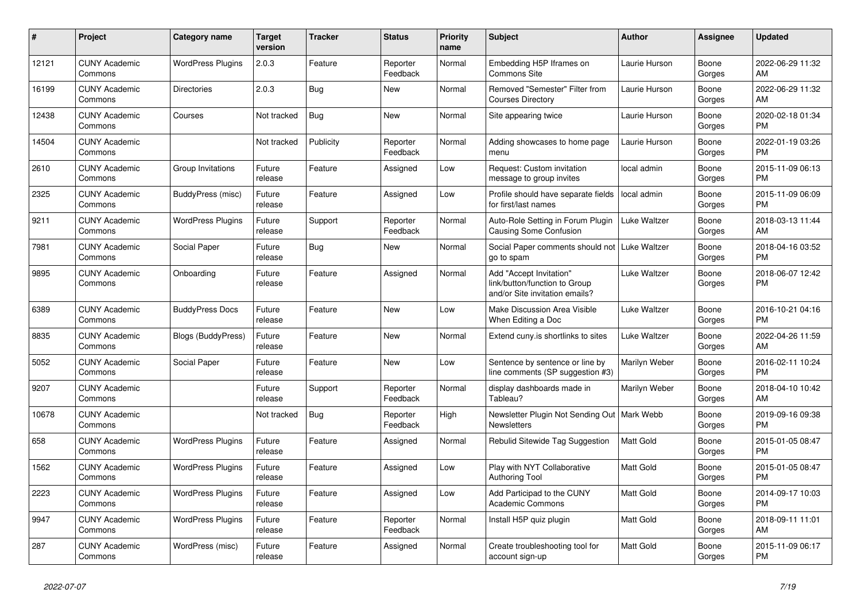| #     | Project                         | Category name             | <b>Target</b><br>version | <b>Tracker</b> | <b>Status</b>        | <b>Priority</b><br>name | <b>Subject</b>                                                                             | <b>Author</b>       | Assignee        | <b>Updated</b>                |
|-------|---------------------------------|---------------------------|--------------------------|----------------|----------------------|-------------------------|--------------------------------------------------------------------------------------------|---------------------|-----------------|-------------------------------|
| 12121 | <b>CUNY Academic</b><br>Commons | <b>WordPress Plugins</b>  | 2.0.3                    | Feature        | Reporter<br>Feedback | Normal                  | Embedding H5P Iframes on<br>Commons Site                                                   | Laurie Hurson       | Boone<br>Gorges | 2022-06-29 11:32<br>AM        |
| 16199 | <b>CUNY Academic</b><br>Commons | <b>Directories</b>        | 2.0.3                    | <b>Bug</b>     | New                  | Normal                  | Removed "Semester" Filter from<br><b>Courses Directory</b>                                 | Laurie Hurson       | Boone<br>Gorges | 2022-06-29 11:32<br>AM        |
| 12438 | <b>CUNY Academic</b><br>Commons | Courses                   | Not tracked              | <b>Bug</b>     | <b>New</b>           | Normal                  | Site appearing twice                                                                       | Laurie Hurson       | Boone<br>Gorges | 2020-02-18 01:34<br><b>PM</b> |
| 14504 | <b>CUNY Academic</b><br>Commons |                           | Not tracked              | Publicity      | Reporter<br>Feedback | Normal                  | Adding showcases to home page<br>menu                                                      | Laurie Hurson       | Boone<br>Gorges | 2022-01-19 03:26<br><b>PM</b> |
| 2610  | <b>CUNY Academic</b><br>Commons | Group Invitations         | Future<br>release        | Feature        | Assigned             | Low                     | Request: Custom invitation<br>message to group invites                                     | local admin         | Boone<br>Gorges | 2015-11-09 06:13<br><b>PM</b> |
| 2325  | <b>CUNY Academic</b><br>Commons | BuddyPress (misc)         | Future<br>release        | Feature        | Assigned             | Low                     | Profile should have separate fields<br>for first/last names                                | local admin         | Boone<br>Gorges | 2015-11-09 06:09<br><b>PM</b> |
| 9211  | <b>CUNY Academic</b><br>Commons | <b>WordPress Plugins</b>  | Future<br>release        | Support        | Reporter<br>Feedback | Normal                  | Auto-Role Setting in Forum Plugin<br><b>Causing Some Confusion</b>                         | Luke Waltzer        | Boone<br>Gorges | 2018-03-13 11:44<br>AM        |
| 7981  | <b>CUNY Academic</b><br>Commons | Social Paper              | Future<br>release        | Bug            | <b>New</b>           | Normal                  | Social Paper comments should not<br>go to spam                                             | <b>Luke Waltzer</b> | Boone<br>Gorges | 2018-04-16 03:52<br><b>PM</b> |
| 9895  | <b>CUNY Academic</b><br>Commons | Onboarding                | Future<br>release        | Feature        | Assigned             | Normal                  | Add "Accept Invitation"<br>link/button/function to Group<br>and/or Site invitation emails? | Luke Waltzer        | Boone<br>Gorges | 2018-06-07 12:42<br><b>PM</b> |
| 6389  | <b>CUNY Academic</b><br>Commons | <b>BuddyPress Docs</b>    | Future<br>release        | Feature        | New                  | Low                     | Make Discussion Area Visible<br>When Editing a Doc                                         | Luke Waltzer        | Boone<br>Gorges | 2016-10-21 04:16<br><b>PM</b> |
| 8835  | <b>CUNY Academic</b><br>Commons | <b>Blogs (BuddyPress)</b> | Future<br>release        | Feature        | New                  | Normal                  | Extend cuny is shortlinks to sites                                                         | Luke Waltzer        | Boone<br>Gorges | 2022-04-26 11:59<br>AM        |
| 5052  | <b>CUNY Academic</b><br>Commons | Social Paper              | Future<br>release        | Feature        | <b>New</b>           | Low                     | Sentence by sentence or line by<br>line comments (SP suggestion #3)                        | Marilyn Weber       | Boone<br>Gorges | 2016-02-11 10:24<br><b>PM</b> |
| 9207  | <b>CUNY Academic</b><br>Commons |                           | Future<br>release        | Support        | Reporter<br>Feedback | Normal                  | display dashboards made in<br>Tableau?                                                     | Marilyn Weber       | Boone<br>Gorges | 2018-04-10 10:42<br>AM        |
| 10678 | <b>CUNY Academic</b><br>Commons |                           | Not tracked              | Bug            | Reporter<br>Feedback | High                    | Newsletter Plugin Not Sending Out   Mark Webb<br><b>Newsletters</b>                        |                     | Boone<br>Gorges | 2019-09-16 09:38<br><b>PM</b> |
| 658   | <b>CUNY Academic</b><br>Commons | <b>WordPress Plugins</b>  | Future<br>release        | Feature        | Assigned             | Normal                  | Rebulid Sitewide Tag Suggestion                                                            | Matt Gold           | Boone<br>Gorges | 2015-01-05 08:47<br><b>PM</b> |
| 1562  | <b>CUNY Academic</b><br>Commons | <b>WordPress Plugins</b>  | Future<br>release        | Feature        | Assigned             | Low                     | Play with NYT Collaborative<br><b>Authoring Tool</b>                                       | Matt Gold           | Boone<br>Gorges | 2015-01-05 08:47<br><b>PM</b> |
| 2223  | <b>CUNY Academic</b><br>Commons | <b>WordPress Plugins</b>  | Future<br>release        | Feature        | Assigned             | Low                     | Add Participad to the CUNY<br><b>Academic Commons</b>                                      | Matt Gold           | Boone<br>Gorges | 2014-09-17 10:03<br><b>PM</b> |
| 9947  | <b>CUNY Academic</b><br>Commons | <b>WordPress Plugins</b>  | Future<br>release        | Feature        | Reporter<br>Feedback | Normal                  | Install H5P quiz plugin                                                                    | Matt Gold           | Boone<br>Gorges | 2018-09-11 11:01<br>AM        |
| 287   | <b>CUNY Academic</b><br>Commons | WordPress (misc)          | Future<br>release        | Feature        | Assigned             | Normal                  | Create troubleshooting tool for<br>account sign-up                                         | Matt Gold           | Boone<br>Gorges | 2015-11-09 06:17<br><b>PM</b> |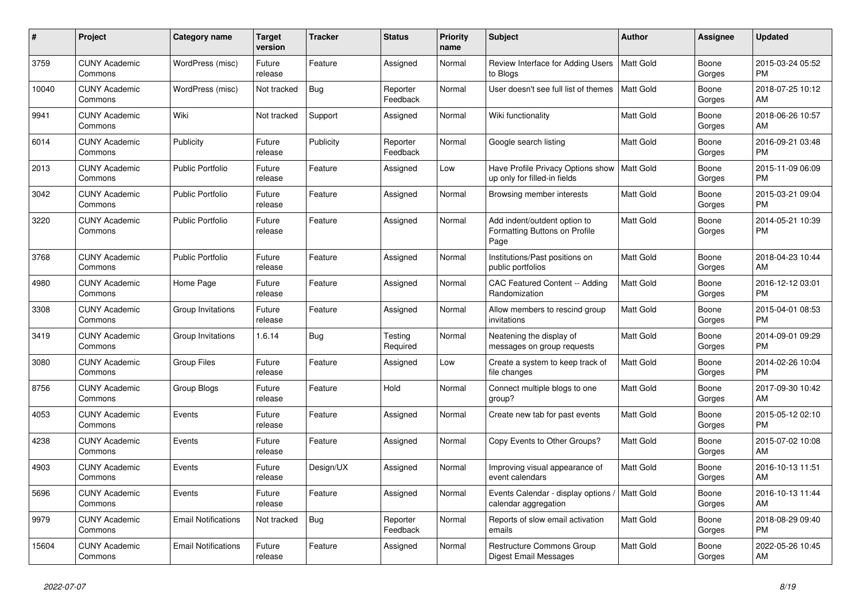| #     | Project                         | <b>Category name</b>       | <b>Target</b><br>version | <b>Tracker</b> | <b>Status</b>        | <b>Priority</b><br>name | <b>Subject</b>                                                        | <b>Author</b>    | Assignee        | <b>Updated</b>                |
|-------|---------------------------------|----------------------------|--------------------------|----------------|----------------------|-------------------------|-----------------------------------------------------------------------|------------------|-----------------|-------------------------------|
| 3759  | <b>CUNY Academic</b><br>Commons | WordPress (misc)           | Future<br>release        | Feature        | Assigned             | Normal                  | Review Interface for Adding Users<br>to Blogs                         | l Matt Gold      | Boone<br>Gorges | 2015-03-24 05:52<br><b>PM</b> |
| 10040 | <b>CUNY Academic</b><br>Commons | WordPress (misc)           | Not tracked              | Bug            | Reporter<br>Feedback | Normal                  | User doesn't see full list of themes                                  | <b>Matt Gold</b> | Boone<br>Gorges | 2018-07-25 10:12<br>AM        |
| 9941  | <b>CUNY Academic</b><br>Commons | Wiki                       | Not tracked              | Support        | Assigned             | Normal                  | Wiki functionality                                                    | Matt Gold        | Boone<br>Gorges | 2018-06-26 10:57<br>AM        |
| 6014  | <b>CUNY Academic</b><br>Commons | Publicity                  | Future<br>release        | Publicity      | Reporter<br>Feedback | Normal                  | Google search listing                                                 | Matt Gold        | Boone<br>Gorges | 2016-09-21 03:48<br><b>PM</b> |
| 2013  | <b>CUNY Academic</b><br>Commons | <b>Public Portfolio</b>    | Future<br>release        | Feature        | Assigned             | Low                     | Have Profile Privacy Options show<br>up only for filled-in fields     | Matt Gold        | Boone<br>Gorges | 2015-11-09 06:09<br><b>PM</b> |
| 3042  | <b>CUNY Academic</b><br>Commons | <b>Public Portfolio</b>    | Future<br>release        | Feature        | Assigned             | Normal                  | Browsing member interests                                             | Matt Gold        | Boone<br>Gorges | 2015-03-21 09:04<br><b>PM</b> |
| 3220  | <b>CUNY Academic</b><br>Commons | <b>Public Portfolio</b>    | Future<br>release        | Feature        | Assigned             | Normal                  | Add indent/outdent option to<br>Formatting Buttons on Profile<br>Page | <b>Matt Gold</b> | Boone<br>Gorges | 2014-05-21 10:39<br><b>PM</b> |
| 3768  | <b>CUNY Academic</b><br>Commons | <b>Public Portfolio</b>    | Future<br>release        | Feature        | Assigned             | Normal                  | Institutions/Past positions on<br>public portfolios                   | <b>Matt Gold</b> | Boone<br>Gorges | 2018-04-23 10:44<br>AM        |
| 4980  | <b>CUNY Academic</b><br>Commons | Home Page                  | Future<br>release        | Feature        | Assigned             | Normal                  | CAC Featured Content -- Adding<br>Randomization                       | <b>Matt Gold</b> | Boone<br>Gorges | 2016-12-12 03:01<br><b>PM</b> |
| 3308  | <b>CUNY Academic</b><br>Commons | Group Invitations          | Future<br>release        | Feature        | Assigned             | Normal                  | Allow members to rescind group<br>invitations                         | Matt Gold        | Boone<br>Gorges | 2015-04-01 08:53<br><b>PM</b> |
| 3419  | <b>CUNY Academic</b><br>Commons | Group Invitations          | 1.6.14                   | <b>Bug</b>     | Testing<br>Required  | Normal                  | Neatening the display of<br>messages on group requests                | Matt Gold        | Boone<br>Gorges | 2014-09-01 09:29<br><b>PM</b> |
| 3080  | <b>CUNY Academic</b><br>Commons | Group Files                | Future<br>release        | Feature        | Assigned             | Low                     | Create a system to keep track of<br>file changes                      | Matt Gold        | Boone<br>Gorges | 2014-02-26 10:04<br><b>PM</b> |
| 8756  | <b>CUNY Academic</b><br>Commons | Group Blogs                | Future<br>release        | Feature        | Hold                 | Normal                  | Connect multiple blogs to one<br>group?                               | Matt Gold        | Boone<br>Gorges | 2017-09-30 10:42<br>AM        |
| 4053  | <b>CUNY Academic</b><br>Commons | Events                     | Future<br>release        | Feature        | Assigned             | Normal                  | Create new tab for past events                                        | Matt Gold        | Boone<br>Gorges | 2015-05-12 02:10<br><b>PM</b> |
| 4238  | <b>CUNY Academic</b><br>Commons | Events                     | Future<br>release        | Feature        | Assigned             | Normal                  | Copy Events to Other Groups?                                          | <b>Matt Gold</b> | Boone<br>Gorges | 2015-07-02 10:08<br>AM        |
| 4903  | <b>CUNY Academic</b><br>Commons | Events                     | Future<br>release        | Design/UX      | Assigned             | Normal                  | Improving visual appearance of<br>event calendars                     | Matt Gold        | Boone<br>Gorges | 2016-10-13 11:51<br>AM        |
| 5696  | <b>CUNY Academic</b><br>Commons | Events                     | Future<br>release        | Feature        | Assigned             | Normal                  | Events Calendar - display options<br>calendar aggregation             | <b>Matt Gold</b> | Boone<br>Gorges | 2016-10-13 11:44<br>AM        |
| 9979  | <b>CUNY Academic</b><br>Commons | <b>Email Notifications</b> | Not tracked              | Bug            | Reporter<br>Feedback | Normal                  | Reports of slow email activation<br>emails                            | Matt Gold        | Boone<br>Gorges | 2018-08-29 09:40<br><b>PM</b> |
| 15604 | <b>CUNY Academic</b><br>Commons | <b>Email Notifications</b> | Future<br>release        | Feature        | Assigned             | Normal                  | <b>Restructure Commons Group</b><br>Digest Email Messages             | <b>Matt Gold</b> | Boone<br>Gorges | 2022-05-26 10:45<br>AM        |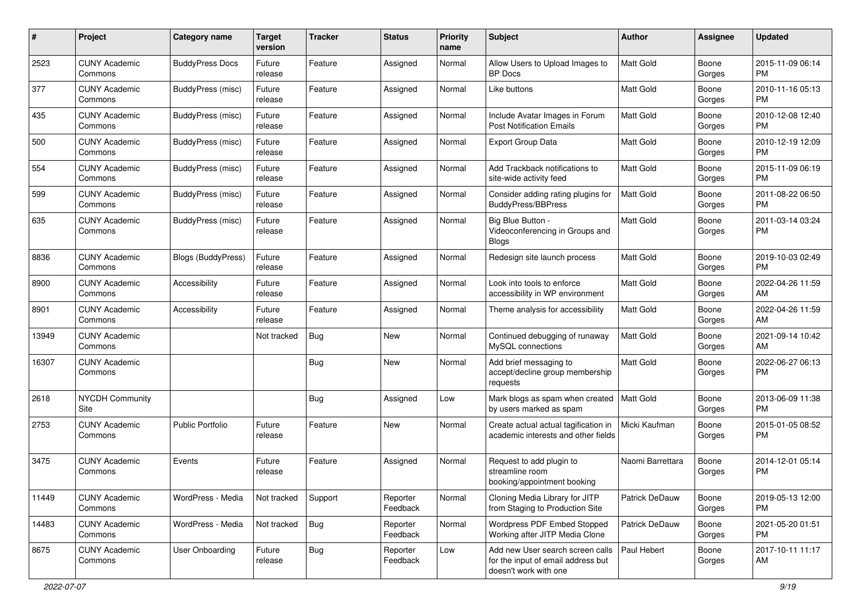| #     | Project                         | <b>Category name</b>   | <b>Target</b><br>version | <b>Tracker</b> | <b>Status</b>        | <b>Priority</b><br>name | Subject                                                                                         | Author           | <b>Assignee</b> | <b>Updated</b>                |
|-------|---------------------------------|------------------------|--------------------------|----------------|----------------------|-------------------------|-------------------------------------------------------------------------------------------------|------------------|-----------------|-------------------------------|
| 2523  | <b>CUNY Academic</b><br>Commons | <b>BuddyPress Docs</b> | Future<br>release        | Feature        | Assigned             | Normal                  | Allow Users to Upload Images to<br><b>BP</b> Docs                                               | <b>Matt Gold</b> | Boone<br>Gorges | 2015-11-09 06:14<br><b>PM</b> |
| 377   | <b>CUNY Academic</b><br>Commons | BuddyPress (misc)      | Future<br>release        | Feature        | Assigned             | Normal                  | Like buttons                                                                                    | Matt Gold        | Boone<br>Gorges | 2010-11-16 05:13<br><b>PM</b> |
| 435   | <b>CUNY Academic</b><br>Commons | BuddyPress (misc)      | Future<br>release        | Feature        | Assigned             | Normal                  | Include Avatar Images in Forum<br><b>Post Notification Emails</b>                               | Matt Gold        | Boone<br>Gorges | 2010-12-08 12:40<br><b>PM</b> |
| 500   | <b>CUNY Academic</b><br>Commons | BuddyPress (misc)      | Future<br>release        | Feature        | Assigned             | Normal                  | <b>Export Group Data</b>                                                                        | <b>Matt Gold</b> | Boone<br>Gorges | 2010-12-19 12:09<br><b>PM</b> |
| 554   | <b>CUNY Academic</b><br>Commons | BuddyPress (misc)      | Future<br>release        | Feature        | Assigned             | Normal                  | Add Trackback notifications to<br>site-wide activity feed                                       | <b>Matt Gold</b> | Boone<br>Gorges | 2015-11-09 06:19<br><b>PM</b> |
| 599   | <b>CUNY Academic</b><br>Commons | BuddyPress (misc)      | Future<br>release        | Feature        | Assigned             | Normal                  | Consider adding rating plugins for<br><b>BuddyPress/BBPress</b>                                 | <b>Matt Gold</b> | Boone<br>Gorges | 2011-08-22 06:50<br><b>PM</b> |
| 635   | <b>CUNY Academic</b><br>Commons | BuddyPress (misc)      | Future<br>release        | Feature        | Assigned             | Normal                  | Big Blue Button -<br>Videoconferencing in Groups and<br><b>Blogs</b>                            | <b>Matt Gold</b> | Boone<br>Gorges | 2011-03-14 03:24<br><b>PM</b> |
| 8836  | <b>CUNY Academic</b><br>Commons | Blogs (BuddyPress)     | Future<br>release        | Feature        | Assigned             | Normal                  | Redesign site launch process                                                                    | <b>Matt Gold</b> | Boone<br>Gorges | 2019-10-03 02:49<br><b>PM</b> |
| 8900  | <b>CUNY Academic</b><br>Commons | Accessibility          | Future<br>release        | Feature        | Assigned             | Normal                  | Look into tools to enforce<br>accessibility in WP environment                                   | <b>Matt Gold</b> | Boone<br>Gorges | 2022-04-26 11:59<br>AM        |
| 8901  | <b>CUNY Academic</b><br>Commons | Accessibility          | Future<br>release        | Feature        | Assigned             | Normal                  | Theme analysis for accessibility                                                                | <b>Matt Gold</b> | Boone<br>Gorges | 2022-04-26 11:59<br>AM        |
| 13949 | <b>CUNY Academic</b><br>Commons |                        | Not tracked              | Bug            | New                  | Normal                  | Continued debugging of runaway<br>MySQL connections                                             | Matt Gold        | Boone<br>Gorges | 2021-09-14 10:42<br>AM        |
| 16307 | <b>CUNY Academic</b><br>Commons |                        |                          | Bug            | New                  | Normal                  | Add brief messaging to<br>accept/decline group membership<br>requests                           | Matt Gold        | Boone<br>Gorges | 2022-06-27 06:13<br><b>PM</b> |
| 2618  | <b>NYCDH Community</b><br>Site  |                        |                          | Bug            | Assigned             | Low                     | Mark blogs as spam when created<br>by users marked as spam                                      | <b>Matt Gold</b> | Boone<br>Gorges | 2013-06-09 11:38<br><b>PM</b> |
| 2753  | <b>CUNY Academic</b><br>Commons | Public Portfolio       | Future<br>release        | Feature        | <b>New</b>           | Normal                  | Create actual actual tagification in<br>academic interests and other fields                     | Micki Kaufman    | Boone<br>Gorges | 2015-01-05 08:52<br><b>PM</b> |
| 3475  | <b>CUNY Academic</b><br>Commons | Events                 | Future<br>release        | Feature        | Assigned             | Normal                  | Request to add plugin to<br>streamline room<br>booking/appointment booking                      | Naomi Barrettara | Boone<br>Gorges | 2014-12-01 05:14<br><b>PM</b> |
| 11449 | <b>CUNY Academic</b><br>Commons | WordPress - Media      | Not tracked              | Support        | Reporter<br>Feedback | Normal                  | Cloning Media Library for JITP<br>from Staging to Production Site                               | Patrick DeDauw   | Boone<br>Gorges | 2019-05-13 12:00<br><b>PM</b> |
| 14483 | <b>CUNY Academic</b><br>Commons | WordPress - Media      | Not tracked              | Bug            | Reporter<br>Feedback | Normal                  | Wordpress PDF Embed Stopped<br>Working after JITP Media Clone                                   | Patrick DeDauw   | Boone<br>Gorges | 2021-05-20 01:51<br><b>PM</b> |
| 8675  | <b>CUNY Academic</b><br>Commons | User Onboarding        | Future<br>release        | Bug            | Reporter<br>Feedback | Low                     | Add new User search screen calls<br>for the input of email address but<br>doesn't work with one | Paul Hebert      | Boone<br>Gorges | 2017-10-11 11:17<br>AM        |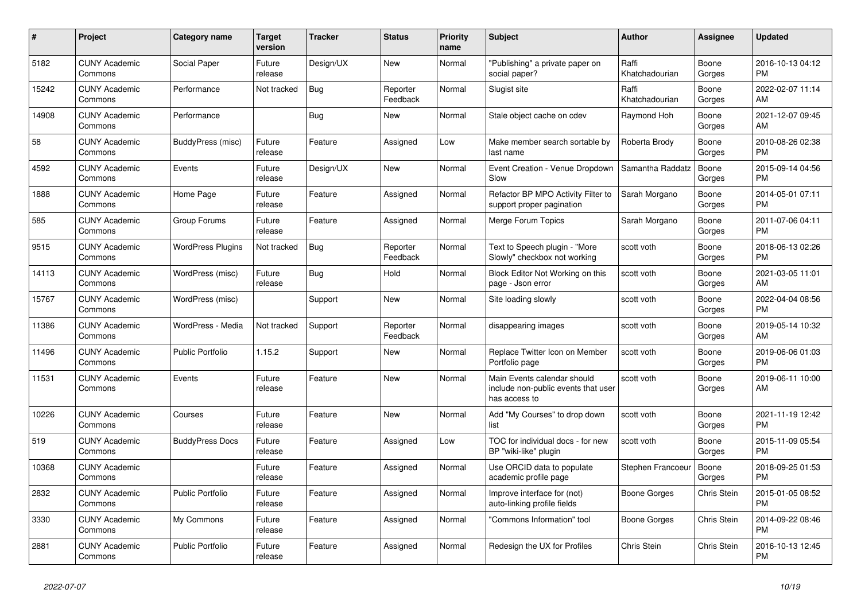| #     | Project                         | <b>Category name</b>     | <b>Target</b><br>version | <b>Tracker</b> | <b>Status</b>        | <b>Priority</b><br>name | <b>Subject</b>                                                                      | <b>Author</b>           | Assignee        | <b>Updated</b>                |
|-------|---------------------------------|--------------------------|--------------------------|----------------|----------------------|-------------------------|-------------------------------------------------------------------------------------|-------------------------|-----------------|-------------------------------|
| 5182  | <b>CUNY Academic</b><br>Commons | Social Paper             | Future<br>release        | Design/UX      | New                  | Normal                  | "Publishing" a private paper on<br>social paper?                                    | Raffi<br>Khatchadourian | Boone<br>Gorges | 2016-10-13 04:12<br><b>PM</b> |
| 15242 | <b>CUNY Academic</b><br>Commons | Performance              | Not tracked              | Bug            | Reporter<br>Feedback | Normal                  | Slugist site                                                                        | Raffi<br>Khatchadourian | Boone<br>Gorges | 2022-02-07 11:14<br>AM        |
| 14908 | <b>CUNY Academic</b><br>Commons | Performance              |                          | <b>Bug</b>     | New                  | Normal                  | Stale object cache on cdev                                                          | Raymond Hoh             | Boone<br>Gorges | 2021-12-07 09:45<br>AM        |
| 58    | <b>CUNY Academic</b><br>Commons | BuddyPress (misc)        | Future<br>release        | Feature        | Assigned             | Low                     | Make member search sortable by<br>last name                                         | Roberta Brody           | Boone<br>Gorges | 2010-08-26 02:38<br><b>PM</b> |
| 4592  | <b>CUNY Academic</b><br>Commons | Events                   | Future<br>release        | Design/UX      | New                  | Normal                  | Event Creation - Venue Dropdown<br>Slow                                             | Samantha Raddatz        | Boone<br>Gorges | 2015-09-14 04:56<br><b>PM</b> |
| 1888  | <b>CUNY Academic</b><br>Commons | Home Page                | Future<br>release        | Feature        | Assigned             | Normal                  | Refactor BP MPO Activity Filter to<br>support proper pagination                     | Sarah Morgano           | Boone<br>Gorges | 2014-05-01 07:11<br><b>PM</b> |
| 585   | <b>CUNY Academic</b><br>Commons | Group Forums             | Future<br>release        | Feature        | Assigned             | Normal                  | Merge Forum Topics                                                                  | Sarah Morgano           | Boone<br>Gorges | 2011-07-06 04:11<br><b>PM</b> |
| 9515  | <b>CUNY Academic</b><br>Commons | <b>WordPress Plugins</b> | Not tracked              | Bug            | Reporter<br>Feedback | Normal                  | Text to Speech plugin - "More<br>Slowly" checkbox not working                       | scott voth              | Boone<br>Gorges | 2018-06-13 02:26<br><b>PM</b> |
| 14113 | <b>CUNY Academic</b><br>Commons | WordPress (misc)         | Future<br>release        | Bug            | Hold                 | Normal                  | Block Editor Not Working on this<br>page - Json error                               | scott voth              | Boone<br>Gorges | 2021-03-05 11:01<br>AM        |
| 15767 | <b>CUNY Academic</b><br>Commons | WordPress (misc)         |                          | Support        | <b>New</b>           | Normal                  | Site loading slowly                                                                 | scott voth              | Boone<br>Gorges | 2022-04-04 08:56<br><b>PM</b> |
| 11386 | <b>CUNY Academic</b><br>Commons | WordPress - Media        | Not tracked              | Support        | Reporter<br>Feedback | Normal                  | disappearing images                                                                 | scott voth              | Boone<br>Gorges | 2019-05-14 10:32<br>AM        |
| 11496 | <b>CUNY Academic</b><br>Commons | <b>Public Portfolio</b>  | 1.15.2                   | Support        | New                  | Normal                  | Replace Twitter Icon on Member<br>Portfolio page                                    | scott voth              | Boone<br>Gorges | 2019-06-06 01:03<br><b>PM</b> |
| 11531 | <b>CUNY Academic</b><br>Commons | Events                   | Future<br>release        | Feature        | <b>New</b>           | Normal                  | Main Events calendar should<br>include non-public events that user<br>has access to | scott voth              | Boone<br>Gorges | 2019-06-11 10:00<br>AM        |
| 10226 | <b>CUNY Academic</b><br>Commons | Courses                  | Future<br>release        | Feature        | New                  | Normal                  | Add "My Courses" to drop down<br>list                                               | scott voth              | Boone<br>Gorges | 2021-11-19 12:42<br><b>PM</b> |
| 519   | <b>CUNY Academic</b><br>Commons | <b>BuddyPress Docs</b>   | Future<br>release        | Feature        | Assigned             | Low                     | TOC for individual docs - for new<br>BP "wiki-like" plugin                          | scott voth              | Boone<br>Gorges | 2015-11-09 05:54<br><b>PM</b> |
| 10368 | <b>CUNY Academic</b><br>Commons |                          | Future<br>release        | Feature        | Assigned             | Normal                  | Use ORCID data to populate<br>academic profile page                                 | Stephen Francoeur       | Boone<br>Gorges | 2018-09-25 01:53<br><b>PM</b> |
| 2832  | <b>CUNY Academic</b><br>Commons | Public Portfolio         | Future<br>release        | Feature        | Assigned             | Normal                  | Improve interface for (not)<br>auto-linking profile fields                          | Boone Gorges            | Chris Stein     | 2015-01-05 08:52<br><b>PM</b> |
| 3330  | <b>CUNY Academic</b><br>Commons | My Commons               | Future<br>release        | Feature        | Assigned             | Normal                  | "Commons Information" tool                                                          | Boone Gorges            | Chris Stein     | 2014-09-22 08:46<br><b>PM</b> |
| 2881  | <b>CUNY Academic</b><br>Commons | Public Portfolio         | Future<br>release        | Feature        | Assigned             | Normal                  | Redesign the UX for Profiles                                                        | Chris Stein             | Chris Stein     | 2016-10-13 12:45<br><b>PM</b> |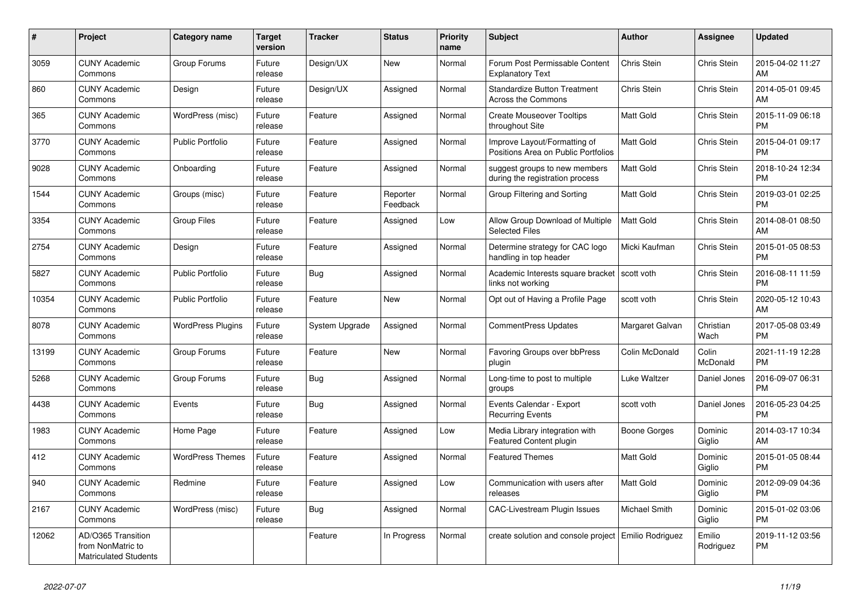| #     | Project                                                                 | <b>Category name</b>     | <b>Target</b><br>version | <b>Tracker</b> | <b>Status</b>        | <b>Priority</b><br>name | <b>Subject</b>                                                      | <b>Author</b>    | Assignee                 | <b>Updated</b>                |
|-------|-------------------------------------------------------------------------|--------------------------|--------------------------|----------------|----------------------|-------------------------|---------------------------------------------------------------------|------------------|--------------------------|-------------------------------|
| 3059  | <b>CUNY Academic</b><br>Commons                                         | Group Forums             | Future<br>release        | Design/UX      | <b>New</b>           | Normal                  | Forum Post Permissable Content<br><b>Explanatory Text</b>           | Chris Stein      | <b>Chris Stein</b>       | 2015-04-02 11:27<br>AM        |
| 860   | <b>CUNY Academic</b><br>Commons                                         | Design                   | Future<br>release        | Design/UX      | Assigned             | Normal                  | <b>Standardize Button Treatment</b><br>Across the Commons           | Chris Stein      | Chris Stein              | 2014-05-01 09:45<br>AM        |
| 365   | <b>CUNY Academic</b><br>Commons                                         | WordPress (misc)         | Future<br>release        | Feature        | Assigned             | Normal                  | <b>Create Mouseover Tooltips</b><br>throughout Site                 | Matt Gold        | Chris Stein              | 2015-11-09 06:18<br><b>PM</b> |
| 3770  | <b>CUNY Academic</b><br>Commons                                         | <b>Public Portfolio</b>  | Future<br>release        | Feature        | Assigned             | Normal                  | Improve Layout/Formatting of<br>Positions Area on Public Portfolios | <b>Matt Gold</b> | Chris Stein              | 2015-04-01 09:17<br><b>PM</b> |
| 9028  | <b>CUNY Academic</b><br>Commons                                         | Onboarding               | Future<br>release        | Feature        | Assigned             | Normal                  | suggest groups to new members<br>during the registration process    | <b>Matt Gold</b> | Chris Stein              | 2018-10-24 12:34<br><b>PM</b> |
| 1544  | <b>CUNY Academic</b><br>Commons                                         | Groups (misc)            | Future<br>release        | Feature        | Reporter<br>Feedback | Normal                  | Group Filtering and Sorting                                         | <b>Matt Gold</b> | Chris Stein              | 2019-03-01 02:25<br><b>PM</b> |
| 3354  | <b>CUNY Academic</b><br>Commons                                         | <b>Group Files</b>       | Future<br>release        | Feature        | Assigned             | Low                     | Allow Group Download of Multiple<br><b>Selected Files</b>           | <b>Matt Gold</b> | Chris Stein              | 2014-08-01 08:50<br>AM        |
| 2754  | <b>CUNY Academic</b><br>Commons                                         | Design                   | Future<br>release        | Feature        | Assigned             | Normal                  | Determine strategy for CAC logo<br>handling in top header           | Micki Kaufman    | Chris Stein              | 2015-01-05 08:53<br><b>PM</b> |
| 5827  | <b>CUNY Academic</b><br>Commons                                         | <b>Public Portfolio</b>  | Future<br>release        | Bug            | Assigned             | Normal                  | Academic Interests square bracket<br>links not working              | scott voth       | Chris Stein              | 2016-08-11 11:59<br><b>PM</b> |
| 10354 | <b>CUNY Academic</b><br>Commons                                         | <b>Public Portfolio</b>  | Future<br>release        | Feature        | <b>New</b>           | Normal                  | Opt out of Having a Profile Page                                    | scott voth       | Chris Stein              | 2020-05-12 10:43<br>AM        |
| 8078  | <b>CUNY Academic</b><br>Commons                                         | <b>WordPress Plugins</b> | Future<br>release        | System Upgrade | Assigned             | Normal                  | <b>CommentPress Updates</b>                                         | Margaret Galvan  | Christian<br>Wach        | 2017-05-08 03:49<br><b>PM</b> |
| 13199 | <b>CUNY Academic</b><br>Commons                                         | Group Forums             | Future<br>release        | Feature        | New                  | Normal                  | Favoring Groups over bbPress<br>plugin                              | Colin McDonald   | Colin<br><b>McDonald</b> | 2021-11-19 12:28<br><b>PM</b> |
| 5268  | <b>CUNY Academic</b><br>Commons                                         | Group Forums             | Future<br>release        | <b>Bug</b>     | Assigned             | Normal                  | Long-time to post to multiple<br>groups                             | Luke Waltzer     | Daniel Jones             | 2016-09-07 06:31<br><b>PM</b> |
| 4438  | <b>CUNY Academic</b><br>Commons                                         | Events                   | Future<br>release        | Bug            | Assigned             | Normal                  | Events Calendar - Export<br><b>Recurring Events</b>                 | scott voth       | Daniel Jones             | 2016-05-23 04:25<br><b>PM</b> |
| 1983  | <b>CUNY Academic</b><br>Commons                                         | Home Page                | Future<br>release        | Feature        | Assigned             | Low                     | Media Library integration with<br>Featured Content plugin           | Boone Gorges     | Dominic<br>Giglio        | 2014-03-17 10:34<br>AM        |
| 412   | <b>CUNY Academic</b><br>Commons                                         | <b>WordPress Themes</b>  | Future<br>release        | Feature        | Assigned             | Normal                  | <b>Featured Themes</b>                                              | <b>Matt Gold</b> | Dominic<br>Giglio        | 2015-01-05 08:44<br><b>PM</b> |
| 940   | <b>CUNY Academic</b><br>Commons                                         | Redmine                  | Future<br>release        | Feature        | Assigned             | Low                     | Communication with users after<br>releases                          | Matt Gold        | Dominic<br>Giglio        | 2012-09-09 04:36<br><b>PM</b> |
| 2167  | <b>CUNY Academic</b><br>Commons                                         | WordPress (misc)         | Future<br>release        | <b>Bug</b>     | Assigned             | Normal                  | <b>CAC-Livestream Plugin Issues</b>                                 | Michael Smith    | Dominic<br>Giglio        | 2015-01-02 03:06<br><b>PM</b> |
| 12062 | AD/O365 Transition<br>from NonMatric to<br><b>Matriculated Students</b> |                          |                          | Feature        | In Progress          | Normal                  | create solution and console project Emilio Rodriguez                |                  | Emilio<br>Rodriguez      | 2019-11-12 03:56<br><b>PM</b> |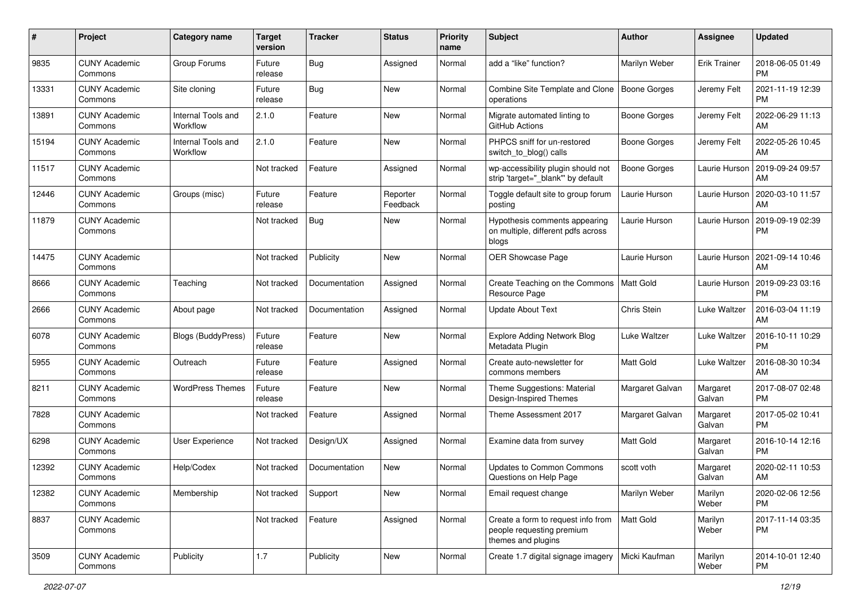| #     | Project                         | <b>Category name</b>           | <b>Target</b><br>version | <b>Tracker</b> | <b>Status</b>        | Priority<br>name | <b>Subject</b>                                                                        | Author           | <b>Assignee</b>     | <b>Updated</b>                |
|-------|---------------------------------|--------------------------------|--------------------------|----------------|----------------------|------------------|---------------------------------------------------------------------------------------|------------------|---------------------|-------------------------------|
| 9835  | <b>CUNY Academic</b><br>Commons | Group Forums                   | Future<br>release        | <b>Bug</b>     | Assigned             | Normal           | add a "like" function?                                                                | Marilyn Weber    | <b>Erik Trainer</b> | 2018-06-05 01:49<br><b>PM</b> |
| 13331 | <b>CUNY Academic</b><br>Commons | Site cloning                   | Future<br>release        | <b>Bug</b>     | New                  | Normal           | Combine Site Template and Clone<br>operations                                         | Boone Gorges     | Jeremy Felt         | 2021-11-19 12:39<br><b>PM</b> |
| 13891 | <b>CUNY Academic</b><br>Commons | Internal Tools and<br>Workflow | 2.1.0                    | Feature        | New                  | Normal           | Migrate automated linting to<br>GitHub Actions                                        | Boone Gorges     | Jeremy Felt         | 2022-06-29 11:13<br>AM        |
| 15194 | <b>CUNY Academic</b><br>Commons | Internal Tools and<br>Workflow | 2.1.0                    | Feature        | New                  | Normal           | PHPCS sniff for un-restored<br>switch_to_blog() calls                                 | Boone Gorges     | Jeremy Felt         | 2022-05-26 10:45<br>AM        |
| 11517 | <b>CUNY Academic</b><br>Commons |                                | Not tracked              | Feature        | Assigned             | Normal           | wp-accessibility plugin should not<br>strip 'target=" blank" by default               | Boone Gorges     | Laurie Hurson       | 2019-09-24 09:57<br>AM        |
| 12446 | <b>CUNY Academic</b><br>Commons | Groups (misc)                  | Future<br>release        | Feature        | Reporter<br>Feedback | Normal           | Toggle default site to group forum<br>posting                                         | Laurie Hurson    | Laurie Hurson       | 2020-03-10 11:57<br>AM        |
| 11879 | <b>CUNY Academic</b><br>Commons |                                | Not tracked              | <b>Bug</b>     | New                  | Normal           | Hypothesis comments appearing<br>on multiple, different pdfs across<br>blogs          | Laurie Hurson    | Laurie Hurson       | 2019-09-19 02:39<br><b>PM</b> |
| 14475 | <b>CUNY Academic</b><br>Commons |                                | Not tracked              | Publicity      | New                  | Normal           | OER Showcase Page                                                                     | Laurie Hurson    | Laurie Hurson       | 2021-09-14 10:46<br>AM        |
| 8666  | <b>CUNY Academic</b><br>Commons | Teaching                       | Not tracked              | Documentation  | Assigned             | Normal           | Create Teaching on the Commons<br>Resource Page                                       | Matt Gold        | Laurie Hurson       | 2019-09-23 03:16<br><b>PM</b> |
| 2666  | <b>CUNY Academic</b><br>Commons | About page                     | Not tracked              | Documentation  | Assigned             | Normal           | <b>Update About Text</b>                                                              | Chris Stein      | Luke Waltzer        | 2016-03-04 11:19<br>AM        |
| 6078  | <b>CUNY Academic</b><br>Commons | Blogs (BuddyPress)             | Future<br>release        | Feature        | New                  | Normal           | <b>Explore Adding Network Blog</b><br>Metadata Plugin                                 | Luke Waltzer     | Luke Waltzer        | 2016-10-11 10:29<br><b>PM</b> |
| 5955  | <b>CUNY Academic</b><br>Commons | Outreach                       | Future<br>release        | Feature        | Assigned             | Normal           | Create auto-newsletter for<br>commons members                                         | <b>Matt Gold</b> | Luke Waltzer        | 2016-08-30 10:34<br>AM        |
| 8211  | <b>CUNY Academic</b><br>Commons | <b>WordPress Themes</b>        | Future<br>release        | Feature        | New                  | Normal           | Theme Suggestions: Material<br>Design-Inspired Themes                                 | Margaret Galvan  | Margaret<br>Galvan  | 2017-08-07 02:48<br><b>PM</b> |
| 7828  | <b>CUNY Academic</b><br>Commons |                                | Not tracked              | Feature        | Assigned             | Normal           | Theme Assessment 2017                                                                 | Margaret Galvan  | Margaret<br>Galvan  | 2017-05-02 10:41<br><b>PM</b> |
| 6298  | <b>CUNY Academic</b><br>Commons | User Experience                | Not tracked              | Design/UX      | Assigned             | Normal           | Examine data from survey                                                              | Matt Gold        | Margaret<br>Galvan  | 2016-10-14 12:16<br><b>PM</b> |
| 12392 | <b>CUNY Academic</b><br>Commons | Help/Codex                     | Not tracked              | Documentation  | New                  | Normal           | Updates to Common Commons<br>Questions on Help Page                                   | scott voth       | Margaret<br>Galvan  | 2020-02-11 10:53<br>AM        |
| 12382 | <b>CUNY Academic</b><br>Commons | Membership                     | Not tracked              | Support        | New                  | Normal           | Email request change                                                                  | Marilyn Weber    | Marilyn<br>Weber    | 2020-02-06 12:56<br><b>PM</b> |
| 8837  | <b>CUNY Academic</b><br>Commons |                                | Not tracked              | Feature        | Assigned             | Normal           | Create a form to request info from<br>people requesting premium<br>themes and plugins | Matt Gold        | Marilyn<br>Weber    | 2017-11-14 03:35<br><b>PM</b> |
| 3509  | <b>CUNY Academic</b><br>Commons | Publicity                      | 1.7                      | Publicity      | New                  | Normal           | Create 1.7 digital signage imagery                                                    | Micki Kaufman    | Marilyn<br>Weber    | 2014-10-01 12:40<br><b>PM</b> |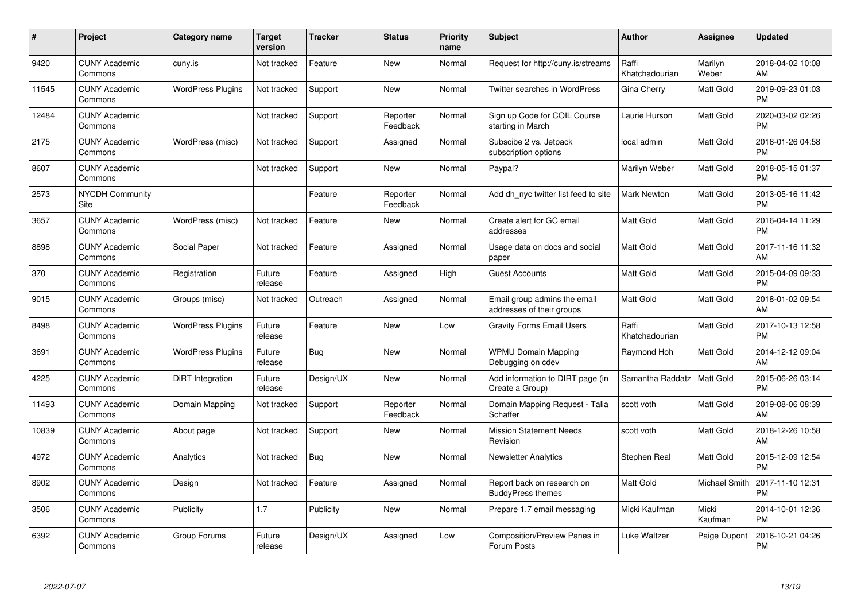| #     | Project                         | Category name            | Target<br>version | <b>Tracker</b> | <b>Status</b>        | <b>Priority</b><br>name | <b>Subject</b>                                            | Author                  | <b>Assignee</b>  | <b>Updated</b>                |
|-------|---------------------------------|--------------------------|-------------------|----------------|----------------------|-------------------------|-----------------------------------------------------------|-------------------------|------------------|-------------------------------|
| 9420  | <b>CUNY Academic</b><br>Commons | cuny.is                  | Not tracked       | Feature        | <b>New</b>           | Normal                  | Request for http://cuny.is/streams                        | Raffi<br>Khatchadourian | Marilyn<br>Weber | 2018-04-02 10:08<br>AM        |
| 11545 | <b>CUNY Academic</b><br>Commons | <b>WordPress Plugins</b> | Not tracked       | Support        | <b>New</b>           | Normal                  | Twitter searches in WordPress                             | Gina Cherry             | Matt Gold        | 2019-09-23 01:03<br><b>PM</b> |
| 12484 | <b>CUNY Academic</b><br>Commons |                          | Not tracked       | Support        | Reporter<br>Feedback | Normal                  | Sign up Code for COIL Course<br>starting in March         | Laurie Hurson           | Matt Gold        | 2020-03-02 02:26<br><b>PM</b> |
| 2175  | <b>CUNY Academic</b><br>Commons | WordPress (misc)         | Not tracked       | Support        | Assigned             | Normal                  | Subscibe 2 vs. Jetpack<br>subscription options            | local admin             | Matt Gold        | 2016-01-26 04:58<br><b>PM</b> |
| 8607  | <b>CUNY Academic</b><br>Commons |                          | Not tracked       | Support        | <b>New</b>           | Normal                  | Paypal?                                                   | Marilyn Weber           | Matt Gold        | 2018-05-15 01:37<br><b>PM</b> |
| 2573  | <b>NYCDH Community</b><br>Site  |                          |                   | Feature        | Reporter<br>Feedback | Normal                  | Add dh nyc twitter list feed to site                      | <b>Mark Newton</b>      | Matt Gold        | 2013-05-16 11:42<br><b>PM</b> |
| 3657  | <b>CUNY Academic</b><br>Commons | WordPress (misc)         | Not tracked       | Feature        | <b>New</b>           | Normal                  | Create alert for GC email<br>addresses                    | <b>Matt Gold</b>        | Matt Gold        | 2016-04-14 11:29<br><b>PM</b> |
| 8898  | <b>CUNY Academic</b><br>Commons | Social Paper             | Not tracked       | Feature        | Assigned             | Normal                  | Usage data on docs and social<br>paper                    | <b>Matt Gold</b>        | Matt Gold        | 2017-11-16 11:32<br>AM        |
| 370   | <b>CUNY Academic</b><br>Commons | Registration             | Future<br>release | Feature        | Assigned             | High                    | <b>Guest Accounts</b>                                     | <b>Matt Gold</b>        | Matt Gold        | 2015-04-09 09:33<br><b>PM</b> |
| 9015  | <b>CUNY Academic</b><br>Commons | Groups (misc)            | Not tracked       | Outreach       | Assigned             | Normal                  | Email group admins the email<br>addresses of their groups | <b>Matt Gold</b>        | Matt Gold        | 2018-01-02 09:54<br>AM        |
| 8498  | <b>CUNY Academic</b><br>Commons | <b>WordPress Plugins</b> | Future<br>release | Feature        | New                  | Low                     | <b>Gravity Forms Email Users</b>                          | Raffi<br>Khatchadourian | Matt Gold        | 2017-10-13 12:58<br><b>PM</b> |
| 3691  | <b>CUNY Academic</b><br>Commons | <b>WordPress Plugins</b> | Future<br>release | Bug            | New                  | Normal                  | <b>WPMU Domain Mapping</b><br>Debugging on cdev           | Raymond Hoh             | Matt Gold        | 2014-12-12 09:04<br>AM        |
| 4225  | <b>CUNY Academic</b><br>Commons | DiRT Integration         | Future<br>release | Design/UX      | New                  | Normal                  | Add information to DIRT page (in<br>Create a Group)       | Samantha Raddatz        | Matt Gold        | 2015-06-26 03:14<br><b>PM</b> |
| 11493 | <b>CUNY Academic</b><br>Commons | Domain Mapping           | Not tracked       | Support        | Reporter<br>Feedback | Normal                  | Domain Mapping Request - Talia<br>Schaffer                | scott voth              | Matt Gold        | 2019-08-06 08:39<br>AM        |
| 10839 | <b>CUNY Academic</b><br>Commons | About page               | Not tracked       | Support        | New                  | Normal                  | <b>Mission Statement Needs</b><br>Revision                | scott voth              | Matt Gold        | 2018-12-26 10:58<br>AM        |
| 4972  | <b>CUNY Academic</b><br>Commons | Analytics                | Not tracked       | <b>Bug</b>     | New                  | Normal                  | Newsletter Analytics                                      | Stephen Real            | Matt Gold        | 2015-12-09 12:54<br><b>PM</b> |
| 8902  | <b>CUNY Academic</b><br>Commons | Design                   | Not tracked       | Feature        | Assigned             | Normal                  | Report back on research on<br><b>BuddyPress themes</b>    | <b>Matt Gold</b>        | Michael Smith    | 2017-11-10 12:31<br><b>PM</b> |
| 3506  | <b>CUNY Academic</b><br>Commons | Publicity                | 1.7               | Publicity      | New                  | Normal                  | Prepare 1.7 email messaging                               | Micki Kaufman           | Micki<br>Kaufman | 2014-10-01 12:36<br><b>PM</b> |
| 6392  | <b>CUNY Academic</b><br>Commons | Group Forums             | Future<br>release | Design/UX      | Assigned             | Low                     | Composition/Preview Panes in<br>Forum Posts               | Luke Waltzer            | Paige Dupont     | 2016-10-21 04:26<br><b>PM</b> |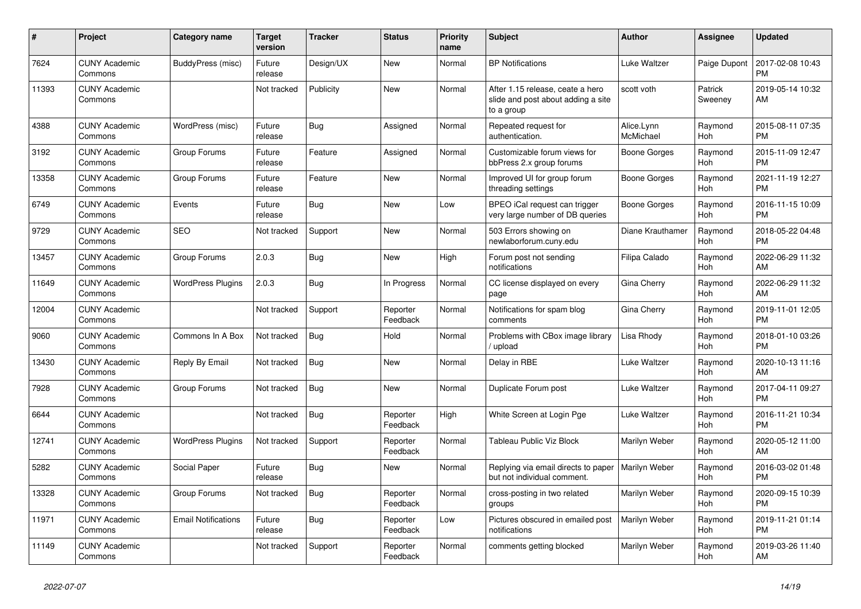| #     | <b>Project</b>                  | <b>Category name</b>       | <b>Target</b><br>version | <b>Tracker</b> | <b>Status</b>        | <b>Priority</b><br>name | <b>Subject</b>                                                                       | <b>Author</b>           | Assignee           | <b>Updated</b>                |
|-------|---------------------------------|----------------------------|--------------------------|----------------|----------------------|-------------------------|--------------------------------------------------------------------------------------|-------------------------|--------------------|-------------------------------|
| 7624  | <b>CUNY Academic</b><br>Commons | BuddyPress (misc)          | Future<br>release        | Design/UX      | New                  | Normal                  | <b>BP</b> Notifications                                                              | Luke Waltzer            | Paige Dupont       | 2017-02-08 10:43<br><b>PM</b> |
| 11393 | <b>CUNY Academic</b><br>Commons |                            | Not tracked              | Publicity      | <b>New</b>           | Normal                  | After 1.15 release, ceate a hero<br>slide and post about adding a site<br>to a group | scott voth              | Patrick<br>Sweeney | 2019-05-14 10:32<br>AM        |
| 4388  | <b>CUNY Academic</b><br>Commons | WordPress (misc)           | Future<br>release        | <b>Bug</b>     | Assigned             | Normal                  | Repeated request for<br>authentication.                                              | Alice.Lynn<br>McMichael | Raymond<br>Hoh     | 2015-08-11 07:35<br><b>PM</b> |
| 3192  | <b>CUNY Academic</b><br>Commons | Group Forums               | Future<br>release        | Feature        | Assigned             | Normal                  | Customizable forum views for<br>bbPress 2.x group forums                             | Boone Gorges            | Raymond<br>Hoh     | 2015-11-09 12:47<br><b>PM</b> |
| 13358 | <b>CUNY Academic</b><br>Commons | Group Forums               | Future<br>release        | Feature        | New                  | Normal                  | Improved UI for group forum<br>threading settings                                    | Boone Gorges            | Raymond<br>Hoh     | 2021-11-19 12:27<br><b>PM</b> |
| 6749  | <b>CUNY Academic</b><br>Commons | Events                     | Future<br>release        | Bug            | <b>New</b>           | Low                     | BPEO iCal request can trigger<br>very large number of DB queries                     | Boone Gorges            | Raymond<br>Hoh     | 2016-11-15 10:09<br><b>PM</b> |
| 9729  | <b>CUNY Academic</b><br>Commons | <b>SEO</b>                 | Not tracked              | Support        | <b>New</b>           | Normal                  | 503 Errors showing on<br>newlaborforum.cuny.edu                                      | Diane Krauthamer        | Raymond<br>Hoh     | 2018-05-22 04:48<br><b>PM</b> |
| 13457 | <b>CUNY Academic</b><br>Commons | Group Forums               | 2.0.3                    | Bug            | New                  | High                    | Forum post not sending<br>notifications                                              | Filipa Calado           | Raymond<br>Hoh     | 2022-06-29 11:32<br>AM        |
| 11649 | <b>CUNY Academic</b><br>Commons | <b>WordPress Plugins</b>   | 2.0.3                    | <b>Bug</b>     | In Progress          | Normal                  | CC license displayed on every<br>page                                                | Gina Cherry             | Raymond<br>Hoh     | 2022-06-29 11:32<br>AM        |
| 12004 | <b>CUNY Academic</b><br>Commons |                            | Not tracked              | Support        | Reporter<br>Feedback | Normal                  | Notifications for spam blog<br>comments                                              | Gina Cherry             | Raymond<br>Hoh     | 2019-11-01 12:05<br><b>PM</b> |
| 9060  | <b>CUNY Academic</b><br>Commons | Commons In A Box           | Not tracked              | Bug            | Hold                 | Normal                  | Problems with CBox image library<br>/ upload                                         | Lisa Rhody              | Raymond<br>Hoh     | 2018-01-10 03:26<br><b>PM</b> |
| 13430 | <b>CUNY Academic</b><br>Commons | Reply By Email             | Not tracked              | Bug            | New                  | Normal                  | Delay in RBE                                                                         | Luke Waltzer            | Raymond<br>Hoh     | 2020-10-13 11:16<br>AM        |
| 7928  | <b>CUNY Academic</b><br>Commons | Group Forums               | Not tracked              | <b>Bug</b>     | <b>New</b>           | Normal                  | Duplicate Forum post                                                                 | Luke Waltzer            | Raymond<br>Hoh     | 2017-04-11 09:27<br><b>PM</b> |
| 6644  | <b>CUNY Academic</b><br>Commons |                            | Not tracked              | Bug            | Reporter<br>Feedback | High                    | White Screen at Login Pge                                                            | Luke Waltzer            | Raymond<br>Hoh     | 2016-11-21 10:34<br><b>PM</b> |
| 12741 | <b>CUNY Academic</b><br>Commons | <b>WordPress Plugins</b>   | Not tracked              | Support        | Reporter<br>Feedback | Normal                  | <b>Tableau Public Viz Block</b>                                                      | Marilyn Weber           | Raymond<br>Hoh     | 2020-05-12 11:00<br>AM        |
| 5282  | <b>CUNY Academic</b><br>Commons | Social Paper               | Future<br>release        | Bug            | <b>New</b>           | Normal                  | Replying via email directs to paper<br>but not individual comment.                   | Marilyn Weber           | Raymond<br>Hoh     | 2016-03-02 01:48<br><b>PM</b> |
| 13328 | <b>CUNY Academic</b><br>Commons | Group Forums               | Not tracked              | <b>Bug</b>     | Reporter<br>Feedback | Normal                  | cross-posting in two related<br>groups                                               | Marilyn Weber           | Raymond<br>Hoh     | 2020-09-15 10:39<br><b>PM</b> |
| 11971 | <b>CUNY Academic</b><br>Commons | <b>Email Notifications</b> | Future<br>release        | Bug            | Reporter<br>Feedback | Low                     | Pictures obscured in emailed post<br>notifications                                   | Marilyn Weber           | Raymond<br>Hoh     | 2019-11-21 01:14<br><b>PM</b> |
| 11149 | <b>CUNY Academic</b><br>Commons |                            | Not tracked              | Support        | Reporter<br>Feedback | Normal                  | comments getting blocked                                                             | Marilyn Weber           | Raymond<br>Hoh     | 2019-03-26 11:40<br>AM        |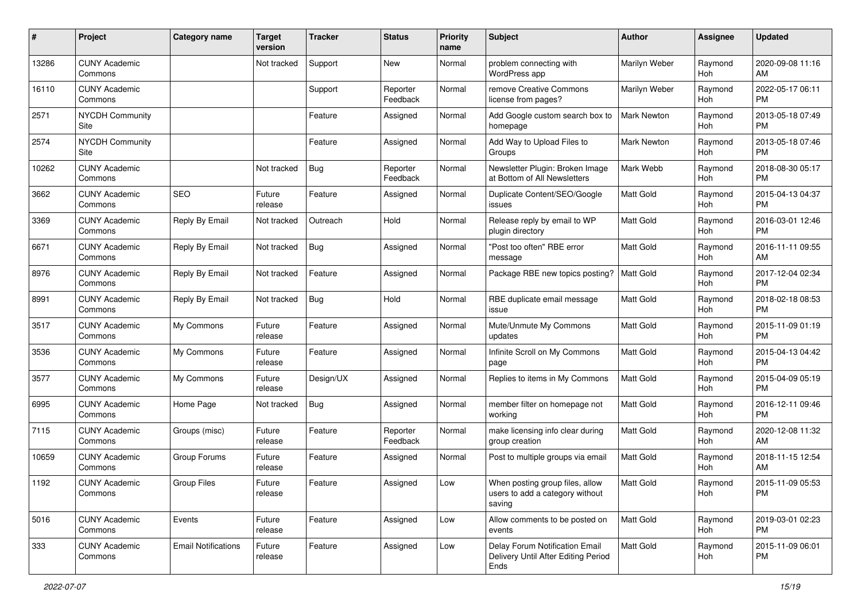| #     | Project                         | <b>Category name</b>       | <b>Target</b><br>version | <b>Tracker</b> | <b>Status</b>        | <b>Priority</b><br>name | <b>Subject</b>                                                                | Author             | <b>Assignee</b> | <b>Updated</b>                |
|-------|---------------------------------|----------------------------|--------------------------|----------------|----------------------|-------------------------|-------------------------------------------------------------------------------|--------------------|-----------------|-------------------------------|
| 13286 | <b>CUNY Academic</b><br>Commons |                            | Not tracked              | Support        | New                  | Normal                  | problem connecting with<br>WordPress app                                      | Marilyn Weber      | Raymond<br>Hoh  | 2020-09-08 11:16<br>AM        |
| 16110 | <b>CUNY Academic</b><br>Commons |                            |                          | Support        | Reporter<br>Feedback | Normal                  | remove Creative Commons<br>license from pages?                                | Marilyn Weber      | Raymond<br>Hoh  | 2022-05-17 06:11<br><b>PM</b> |
| 2571  | <b>NYCDH Community</b><br>Site  |                            |                          | Feature        | Assigned             | Normal                  | Add Google custom search box to<br>homepage                                   | <b>Mark Newton</b> | Raymond<br>Hoh  | 2013-05-18 07:49<br><b>PM</b> |
| 2574  | <b>NYCDH Community</b><br>Site  |                            |                          | Feature        | Assigned             | Normal                  | Add Way to Upload Files to<br>Groups                                          | Mark Newton        | Raymond<br>Hoh  | 2013-05-18 07:46<br><b>PM</b> |
| 10262 | <b>CUNY Academic</b><br>Commons |                            | Not tracked              | <b>Bug</b>     | Reporter<br>Feedback | Normal                  | Newsletter Plugin: Broken Image<br>at Bottom of All Newsletters               | Mark Webb          | Raymond<br>Hoh  | 2018-08-30 05:17<br><b>PM</b> |
| 3662  | <b>CUNY Academic</b><br>Commons | SEO                        | Future<br>release        | Feature        | Assigned             | Normal                  | Duplicate Content/SEO/Google<br>issues                                        | Matt Gold          | Raymond<br>Hoh  | 2015-04-13 04:37<br><b>PM</b> |
| 3369  | <b>CUNY Academic</b><br>Commons | Reply By Email             | Not tracked              | Outreach       | Hold                 | Normal                  | Release reply by email to WP<br>plugin directory                              | Matt Gold          | Raymond<br>Hoh  | 2016-03-01 12:46<br><b>PM</b> |
| 6671  | <b>CUNY Academic</b><br>Commons | Reply By Email             | Not tracked              | <b>Bug</b>     | Assigned             | Normal                  | "Post too often" RBE error<br>message                                         | <b>Matt Gold</b>   | Raymond<br>Hoh  | 2016-11-11 09:55<br>AM        |
| 8976  | <b>CUNY Academic</b><br>Commons | Reply By Email             | Not tracked              | Feature        | Assigned             | Normal                  | Package RBE new topics posting?                                               | <b>Matt Gold</b>   | Raymond<br>Hoh  | 2017-12-04 02:34<br><b>PM</b> |
| 8991  | <b>CUNY Academic</b><br>Commons | Reply By Email             | Not tracked              | <b>Bug</b>     | Hold                 | Normal                  | RBE duplicate email message<br>issue                                          | Matt Gold          | Raymond<br>Hoh  | 2018-02-18 08:53<br><b>PM</b> |
| 3517  | <b>CUNY Academic</b><br>Commons | My Commons                 | Future<br>release        | Feature        | Assigned             | Normal                  | Mute/Unmute My Commons<br>updates                                             | Matt Gold          | Raymond<br>Hoh  | 2015-11-09 01:19<br><b>PM</b> |
| 3536  | <b>CUNY Academic</b><br>Commons | My Commons                 | Future<br>release        | Feature        | Assigned             | Normal                  | Infinite Scroll on My Commons<br>page                                         | <b>Matt Gold</b>   | Raymond<br>Hoh  | 2015-04-13 04:42<br><b>PM</b> |
| 3577  | <b>CUNY Academic</b><br>Commons | My Commons                 | Future<br>release        | Design/UX      | Assigned             | Normal                  | Replies to items in My Commons                                                | Matt Gold          | Raymond<br>Hoh  | 2015-04-09 05:19<br><b>PM</b> |
| 6995  | <b>CUNY Academic</b><br>Commons | Home Page                  | Not tracked              | <b>Bug</b>     | Assigned             | Normal                  | member filter on homepage not<br>working                                      | <b>Matt Gold</b>   | Raymond<br>Hoh  | 2016-12-11 09:46<br><b>PM</b> |
| 7115  | <b>CUNY Academic</b><br>Commons | Groups (misc)              | Future<br>release        | Feature        | Reporter<br>Feedback | Normal                  | make licensing info clear during<br>group creation                            | <b>Matt Gold</b>   | Raymond<br>Hoh  | 2020-12-08 11:32<br>AM        |
| 10659 | <b>CUNY Academic</b><br>Commons | Group Forums               | Future<br>release        | Feature        | Assigned             | Normal                  | Post to multiple groups via email                                             | <b>Matt Gold</b>   | Raymond<br>Hoh  | 2018-11-15 12:54<br>AM        |
| 1192  | <b>CUNY Academic</b><br>Commons | <b>Group Files</b>         | Future<br>release        | Feature        | Assigned             | Low                     | When posting group files, allow<br>users to add a category without<br>saving  | Matt Gold          | Raymond<br>Hoh  | 2015-11-09 05:53<br>PM        |
| 5016  | <b>CUNY Academic</b><br>Commons | Events                     | Future<br>release        | Feature        | Assigned             | Low                     | Allow comments to be posted on<br>events                                      | Matt Gold          | Raymond<br>Hoh  | 2019-03-01 02:23<br><b>PM</b> |
| 333   | <b>CUNY Academic</b><br>Commons | <b>Email Notifications</b> | Future<br>release        | Feature        | Assigned             | Low                     | Delay Forum Notification Email<br>Delivery Until After Editing Period<br>Ends | Matt Gold          | Raymond<br>Hoh  | 2015-11-09 06:01<br><b>PM</b> |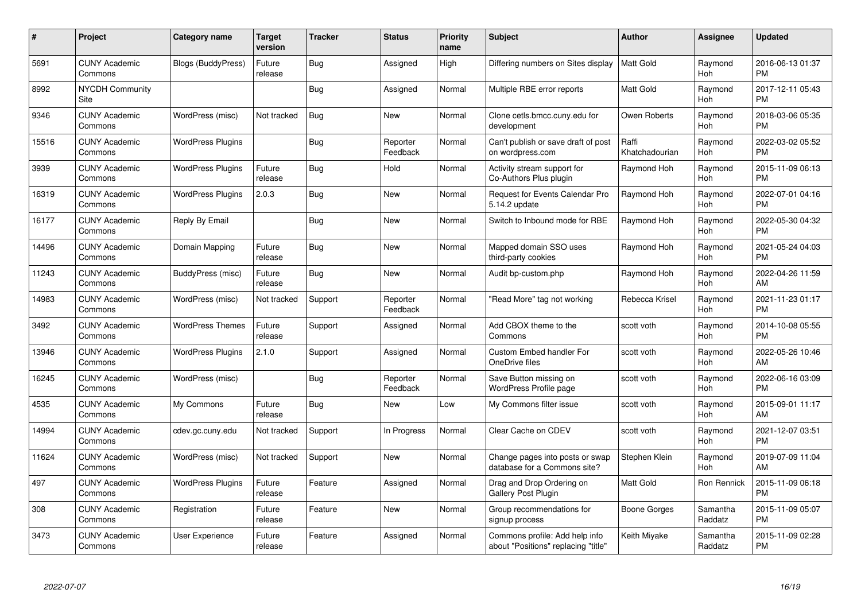| #     | Project                         | Category name             | <b>Target</b><br>version | <b>Tracker</b> | <b>Status</b>        | <b>Priority</b><br>name | <b>Subject</b>                                                        | <b>Author</b>           | <b>Assignee</b>       | <b>Updated</b>                |
|-------|---------------------------------|---------------------------|--------------------------|----------------|----------------------|-------------------------|-----------------------------------------------------------------------|-------------------------|-----------------------|-------------------------------|
| 5691  | <b>CUNY Academic</b><br>Commons | <b>Blogs (BuddyPress)</b> | Future<br>release        | Bug            | Assigned             | High                    | Differing numbers on Sites display                                    | l Matt Gold             | Raymond<br><b>Hoh</b> | 2016-06-13 01:37<br><b>PM</b> |
| 8992  | <b>NYCDH Community</b><br>Site  |                           |                          | <b>Bug</b>     | Assigned             | Normal                  | Multiple RBE error reports                                            | <b>Matt Gold</b>        | Raymond<br><b>Hoh</b> | 2017-12-11 05:43<br><b>PM</b> |
| 9346  | <b>CUNY Academic</b><br>Commons | WordPress (misc)          | Not tracked              | Bug            | <b>New</b>           | Normal                  | Clone cetls.bmcc.cuny.edu for<br>development                          | Owen Roberts            | Raymond<br>Hoh        | 2018-03-06 05:35<br><b>PM</b> |
| 15516 | <b>CUNY Academic</b><br>Commons | <b>WordPress Plugins</b>  |                          | <b>Bug</b>     | Reporter<br>Feedback | Normal                  | Can't publish or save draft of post<br>on wordpress.com               | Raffi<br>Khatchadourian | Raymond<br><b>Hoh</b> | 2022-03-02 05:52<br><b>PM</b> |
| 3939  | <b>CUNY Academic</b><br>Commons | <b>WordPress Plugins</b>  | Future<br>release        | <b>Bug</b>     | Hold                 | Normal                  | Activity stream support for<br>Co-Authors Plus plugin                 | Raymond Hoh             | Raymond<br>Hoh        | 2015-11-09 06:13<br><b>PM</b> |
| 16319 | <b>CUNY Academic</b><br>Commons | <b>WordPress Plugins</b>  | 2.0.3                    | Bug            | <b>New</b>           | Normal                  | <b>Request for Events Calendar Pro</b><br>5.14.2 update               | Raymond Hoh             | Raymond<br>Hoh        | 2022-07-01 04:16<br><b>PM</b> |
| 16177 | <b>CUNY Academic</b><br>Commons | Reply By Email            |                          | <b>Bug</b>     | <b>New</b>           | Normal                  | Switch to Inbound mode for RBE                                        | Raymond Hoh             | Raymond<br>Hoh        | 2022-05-30 04:32<br><b>PM</b> |
| 14496 | <b>CUNY Academic</b><br>Commons | Domain Mapping            | Future<br>release        | Bug            | <b>New</b>           | Normal                  | Mapped domain SSO uses<br>third-party cookies                         | Raymond Hoh             | Raymond<br><b>Hoh</b> | 2021-05-24 04:03<br><b>PM</b> |
| 11243 | <b>CUNY Academic</b><br>Commons | BuddyPress (misc)         | Future<br>release        | <b>Bug</b>     | New                  | Normal                  | Audit bp-custom.php                                                   | Raymond Hoh             | Raymond<br>Hoh        | 2022-04-26 11:59<br>AM        |
| 14983 | <b>CUNY Academic</b><br>Commons | WordPress (misc)          | Not tracked              | Support        | Reporter<br>Feedback | Normal                  | "Read More" tag not working                                           | Rebecca Krisel          | Raymond<br>Hoh        | 2021-11-23 01:17<br><b>PM</b> |
| 3492  | <b>CUNY Academic</b><br>Commons | <b>WordPress Themes</b>   | Future<br>release        | Support        | Assigned             | Normal                  | Add CBOX theme to the<br>Commons                                      | scott voth              | Raymond<br>Hoh        | 2014-10-08 05:55<br><b>PM</b> |
| 13946 | <b>CUNY Academic</b><br>Commons | <b>WordPress Plugins</b>  | 2.1.0                    | Support        | Assigned             | Normal                  | <b>Custom Embed handler For</b><br>OneDrive files                     | scott voth              | Raymond<br>Hoh        | 2022-05-26 10:46<br>AM        |
| 16245 | <b>CUNY Academic</b><br>Commons | WordPress (misc)          |                          | Bug            | Reporter<br>Feedback | Normal                  | Save Button missing on<br><b>WordPress Profile page</b>               | scott voth              | Raymond<br>Hoh        | 2022-06-16 03:09<br><b>PM</b> |
| 4535  | <b>CUNY Academic</b><br>Commons | My Commons                | Future<br>release        | <b>Bug</b>     | New                  | Low                     | My Commons filter issue                                               | scott voth              | Raymond<br>Hoh        | 2015-09-01 11:17<br>AM        |
| 14994 | <b>CUNY Academic</b><br>Commons | cdev.gc.cuny.edu          | Not tracked              | Support        | In Progress          | Normal                  | Clear Cache on CDEV                                                   | scott voth              | Raymond<br>Hoh        | 2021-12-07 03:51<br><b>PM</b> |
| 11624 | <b>CUNY Academic</b><br>Commons | WordPress (misc)          | Not tracked              | Support        | New                  | Normal                  | Change pages into posts or swap<br>database for a Commons site?       | Stephen Klein           | Raymond<br>Hoh        | 2019-07-09 11:04<br>AM        |
| 497   | <b>CUNY Academic</b><br>Commons | <b>WordPress Plugins</b>  | Future<br>release        | Feature        | Assigned             | Normal                  | Drag and Drop Ordering on<br>Gallery Post Plugin                      | Matt Gold               | Ron Rennick           | 2015-11-09 06:18<br><b>PM</b> |
| 308   | <b>CUNY Academic</b><br>Commons | Registration              | Future<br>release        | Feature        | New                  | Normal                  | Group recommendations for<br>signup process                           | Boone Gorges            | Samantha<br>Raddatz   | 2015-11-09 05:07<br><b>PM</b> |
| 3473  | <b>CUNY Academic</b><br>Commons | <b>User Experience</b>    | Future<br>release        | Feature        | Assigned             | Normal                  | Commons profile: Add help info<br>about "Positions" replacing "title" | Keith Miyake            | Samantha<br>Raddatz   | 2015-11-09 02:28<br>PM        |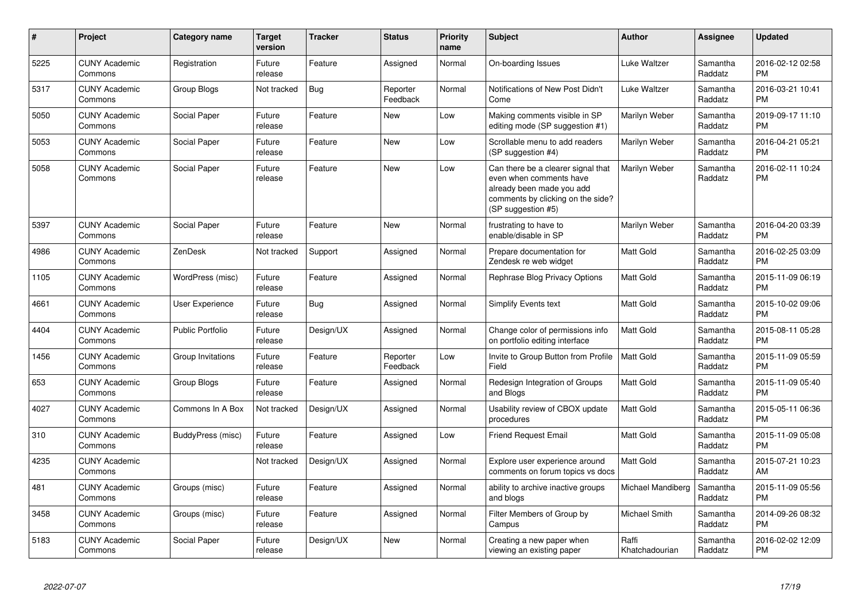| #    | Project                         | Category name           | <b>Target</b><br>version | <b>Tracker</b> | <b>Status</b>        | <b>Priority</b><br>name | <b>Subject</b>                                                                                                                                        | <b>Author</b>           | <b>Assignee</b>     | <b>Updated</b>                |
|------|---------------------------------|-------------------------|--------------------------|----------------|----------------------|-------------------------|-------------------------------------------------------------------------------------------------------------------------------------------------------|-------------------------|---------------------|-------------------------------|
| 5225 | <b>CUNY Academic</b><br>Commons | Registration            | Future<br>release        | Feature        | Assigned             | Normal                  | On-boarding Issues                                                                                                                                    | Luke Waltzer            | Samantha<br>Raddatz | 2016-02-12 02:58<br><b>PM</b> |
| 5317 | <b>CUNY Academic</b><br>Commons | Group Blogs             | Not tracked              | Bug            | Reporter<br>Feedback | Normal                  | Notifications of New Post Didn't<br>Come                                                                                                              | Luke Waltzer            | Samantha<br>Raddatz | 2016-03-21 10:41<br><b>PM</b> |
| 5050 | <b>CUNY Academic</b><br>Commons | Social Paper            | Future<br>release        | Feature        | New                  | Low                     | Making comments visible in SP<br>editing mode (SP suggestion #1)                                                                                      | Marilyn Weber           | Samantha<br>Raddatz | 2019-09-17 11:10<br><b>PM</b> |
| 5053 | <b>CUNY Academic</b><br>Commons | Social Paper            | Future<br>release        | Feature        | New                  | Low                     | Scrollable menu to add readers<br>(SP suggestion #4)                                                                                                  | Marilyn Weber           | Samantha<br>Raddatz | 2016-04-21 05:21<br><b>PM</b> |
| 5058 | <b>CUNY Academic</b><br>Commons | Social Paper            | Future<br>release        | Feature        | New                  | Low                     | Can there be a clearer signal that<br>even when comments have<br>already been made you add<br>comments by clicking on the side?<br>(SP suggestion #5) | Marilyn Weber           | Samantha<br>Raddatz | 2016-02-11 10:24<br><b>PM</b> |
| 5397 | <b>CUNY Academic</b><br>Commons | Social Paper            | Future<br>release        | Feature        | New                  | Normal                  | frustrating to have to<br>enable/disable in SP                                                                                                        | Marilyn Weber           | Samantha<br>Raddatz | 2016-04-20 03:39<br><b>PM</b> |
| 4986 | <b>CUNY Academic</b><br>Commons | ZenDesk                 | Not tracked              | Support        | Assigned             | Normal                  | Prepare documentation for<br>Zendesk re web widget                                                                                                    | <b>Matt Gold</b>        | Samantha<br>Raddatz | 2016-02-25 03:09<br><b>PM</b> |
| 1105 | <b>CUNY Academic</b><br>Commons | WordPress (misc)        | Future<br>release        | Feature        | Assigned             | Normal                  | Rephrase Blog Privacy Options                                                                                                                         | Matt Gold               | Samantha<br>Raddatz | 2015-11-09 06:19<br><b>PM</b> |
| 4661 | <b>CUNY Academic</b><br>Commons | <b>User Experience</b>  | Future<br>release        | Bug            | Assigned             | Normal                  | Simplify Events text                                                                                                                                  | <b>Matt Gold</b>        | Samantha<br>Raddatz | 2015-10-02 09:06<br><b>PM</b> |
| 4404 | <b>CUNY Academic</b><br>Commons | <b>Public Portfolio</b> | Future<br>release        | Design/UX      | Assigned             | Normal                  | Change color of permissions info<br>on portfolio editing interface                                                                                    | <b>Matt Gold</b>        | Samantha<br>Raddatz | 2015-08-11 05:28<br><b>PM</b> |
| 1456 | <b>CUNY Academic</b><br>Commons | Group Invitations       | Future<br>release        | Feature        | Reporter<br>Feedback | Low                     | Invite to Group Button from Profile<br>Field                                                                                                          | <b>Matt Gold</b>        | Samantha<br>Raddatz | 2015-11-09 05:59<br><b>PM</b> |
| 653  | <b>CUNY Academic</b><br>Commons | Group Blogs             | Future<br>release        | Feature        | Assigned             | Normal                  | Redesign Integration of Groups<br>and Blogs                                                                                                           | <b>Matt Gold</b>        | Samantha<br>Raddatz | 2015-11-09 05:40<br><b>PM</b> |
| 4027 | <b>CUNY Academic</b><br>Commons | Commons In A Box        | Not tracked              | Design/UX      | Assigned             | Normal                  | Usability review of CBOX update<br>procedures                                                                                                         | <b>Matt Gold</b>        | Samantha<br>Raddatz | 2015-05-11 06:36<br><b>PM</b> |
| 310  | <b>CUNY Academic</b><br>Commons | BuddyPress (misc)       | Future<br>release        | Feature        | Assigned             | Low                     | <b>Friend Request Email</b>                                                                                                                           | <b>Matt Gold</b>        | Samantha<br>Raddatz | 2015-11-09 05:08<br><b>PM</b> |
| 4235 | <b>CUNY Academic</b><br>Commons |                         | Not tracked              | Design/UX      | Assigned             | Normal                  | Explore user experience around<br>comments on forum topics vs docs                                                                                    | <b>Matt Gold</b>        | Samantha<br>Raddatz | 2015-07-21 10:23<br>AM        |
| 481  | <b>CUNY Academic</b><br>Commons | Groups (misc)           | Future<br>release        | Feature        | Assigned             | Normal                  | ability to archive inactive groups<br>and blogs                                                                                                       | Michael Mandiberg       | Samantha<br>Raddatz | 2015-11-09 05:56<br><b>PM</b> |
| 3458 | <b>CUNY Academic</b><br>Commons | Groups (misc)           | Future<br>release        | Feature        | Assigned             | Normal                  | Filter Members of Group by<br>Campus                                                                                                                  | Michael Smith           | Samantha<br>Raddatz | 2014-09-26 08:32<br><b>PM</b> |
| 5183 | <b>CUNY Academic</b><br>Commons | Social Paper            | Future<br>release        | Design/UX      | <b>New</b>           | Normal                  | Creating a new paper when<br>viewing an existing paper                                                                                                | Raffi<br>Khatchadourian | Samantha<br>Raddatz | 2016-02-02 12:09<br>PM        |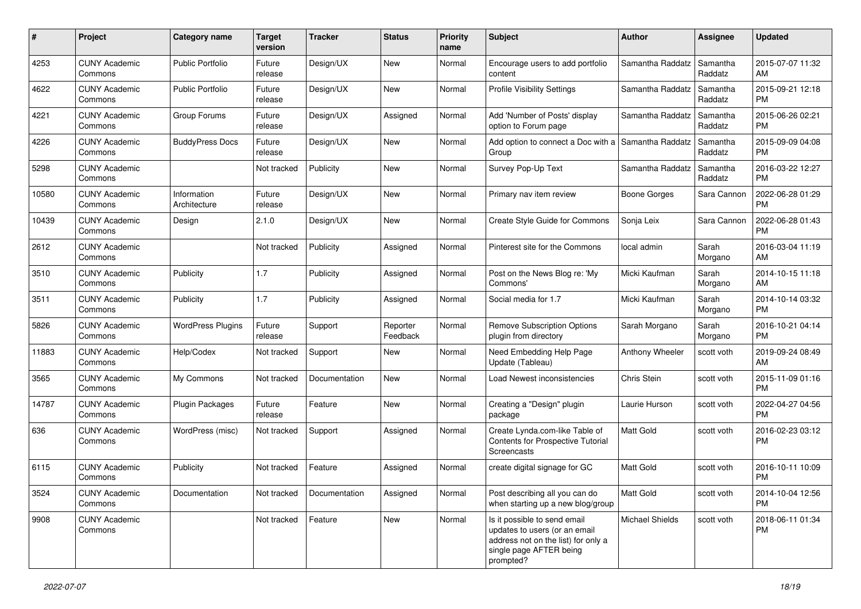| #     | Project                         | <b>Category name</b>        | <b>Target</b><br>version | <b>Tracker</b> | <b>Status</b>        | Priority<br>name | <b>Subject</b>                                                                                                                               | Author              | <b>Assignee</b>     | <b>Updated</b>                |
|-------|---------------------------------|-----------------------------|--------------------------|----------------|----------------------|------------------|----------------------------------------------------------------------------------------------------------------------------------------------|---------------------|---------------------|-------------------------------|
| 4253  | <b>CUNY Academic</b><br>Commons | <b>Public Portfolio</b>     | Future<br>release        | Design/UX      | <b>New</b>           | Normal           | Encourage users to add portfolio<br>content                                                                                                  | Samantha Raddatz    | Samantha<br>Raddatz | 2015-07-07 11:32<br>AM        |
| 4622  | <b>CUNY Academic</b><br>Commons | <b>Public Portfolio</b>     | Future<br>release        | Design/UX      | New                  | Normal           | <b>Profile Visibility Settings</b>                                                                                                           | Samantha Raddatz    | Samantha<br>Raddatz | 2015-09-21 12:18<br><b>PM</b> |
| 4221  | <b>CUNY Academic</b><br>Commons | Group Forums                | Future<br>release        | Design/UX      | Assigned             | Normal           | Add 'Number of Posts' display<br>option to Forum page                                                                                        | Samantha Raddatz    | Samantha<br>Raddatz | 2015-06-26 02:21<br><b>PM</b> |
| 4226  | <b>CUNY Academic</b><br>Commons | <b>BuddyPress Docs</b>      | Future<br>release        | Design/UX      | New                  | Normal           | Add option to connect a Doc with a<br>Group                                                                                                  | Samantha Raddatz    | Samantha<br>Raddatz | 2015-09-09 04:08<br><b>PM</b> |
| 5298  | <b>CUNY Academic</b><br>Commons |                             | Not tracked              | Publicity      | <b>New</b>           | Normal           | Survey Pop-Up Text                                                                                                                           | Samantha Raddatz    | Samantha<br>Raddatz | 2016-03-22 12:27<br><b>PM</b> |
| 10580 | <b>CUNY Academic</b><br>Commons | Information<br>Architecture | Future<br>release        | Design/UX      | New                  | Normal           | Primary nav item review                                                                                                                      | <b>Boone Gorges</b> | Sara Cannon         | 2022-06-28 01:29<br><b>PM</b> |
| 10439 | <b>CUNY Academic</b><br>Commons | Design                      | 2.1.0                    | Design/UX      | New                  | Normal           | Create Style Guide for Commons                                                                                                               | Sonja Leix          | Sara Cannon         | 2022-06-28 01:43<br><b>PM</b> |
| 2612  | <b>CUNY Academic</b><br>Commons |                             | Not tracked              | Publicity      | Assigned             | Normal           | Pinterest site for the Commons                                                                                                               | local admin         | Sarah<br>Morgano    | 2016-03-04 11:19<br>AM        |
| 3510  | <b>CUNY Academic</b><br>Commons | Publicity                   | 1.7                      | Publicity      | Assigned             | Normal           | Post on the News Blog re: 'My<br>Commons'                                                                                                    | Micki Kaufman       | Sarah<br>Morgano    | 2014-10-15 11:18<br>AM        |
| 3511  | <b>CUNY Academic</b><br>Commons | Publicity                   | 1.7                      | Publicity      | Assigned             | Normal           | Social media for 1.7                                                                                                                         | Micki Kaufman       | Sarah<br>Morgano    | 2014-10-14 03:32<br><b>PM</b> |
| 5826  | <b>CUNY Academic</b><br>Commons | <b>WordPress Plugins</b>    | Future<br>release        | Support        | Reporter<br>Feedback | Normal           | <b>Remove Subscription Options</b><br>plugin from directory                                                                                  | Sarah Morgano       | Sarah<br>Morgano    | 2016-10-21 04:14<br><b>PM</b> |
| 11883 | <b>CUNY Academic</b><br>Commons | Help/Codex                  | Not tracked              | Support        | New                  | Normal           | Need Embedding Help Page<br>Update (Tableau)                                                                                                 | Anthony Wheeler     | scott voth          | 2019-09-24 08:49<br>AM        |
| 3565  | <b>CUNY Academic</b><br>Commons | My Commons                  | Not tracked              | Documentation  | New                  | Normal           | Load Newest inconsistencies                                                                                                                  | Chris Stein         | scott voth          | 2015-11-09 01:16<br><b>PM</b> |
| 14787 | <b>CUNY Academic</b><br>Commons | Plugin Packages             | Future<br>release        | Feature        | New                  | Normal           | Creating a "Design" plugin<br>package                                                                                                        | Laurie Hurson       | scott voth          | 2022-04-27 04:56<br><b>PM</b> |
| 636   | <b>CUNY Academic</b><br>Commons | WordPress (misc)            | Not tracked              | Support        | Assigned             | Normal           | Create Lynda.com-like Table of<br>Contents for Prospective Tutorial<br>Screencasts                                                           | <b>Matt Gold</b>    | scott voth          | 2016-02-23 03:12<br><b>PM</b> |
| 6115  | <b>CUNY Academic</b><br>Commons | Publicity                   | Not tracked              | Feature        | Assigned             | Normal           | create digital signage for GC                                                                                                                | <b>Matt Gold</b>    | scott voth          | 2016-10-11 10:09<br><b>PM</b> |
| 3524  | <b>CUNY Academic</b><br>Commons | Documentation               | Not tracked              | Documentation  | Assigned             | Normal           | Post describing all you can do<br>when starting up a new blog/group                                                                          | Matt Gold           | scott voth          | 2014-10-04 12:56<br><b>PM</b> |
| 9908  | <b>CUNY Academic</b><br>Commons |                             | Not tracked              | Feature        | New                  | Normal           | Is it possible to send email<br>updates to users (or an email<br>address not on the list) for only a<br>single page AFTER being<br>prompted? | Michael Shields     | scott voth          | 2018-06-11 01:34<br><b>PM</b> |